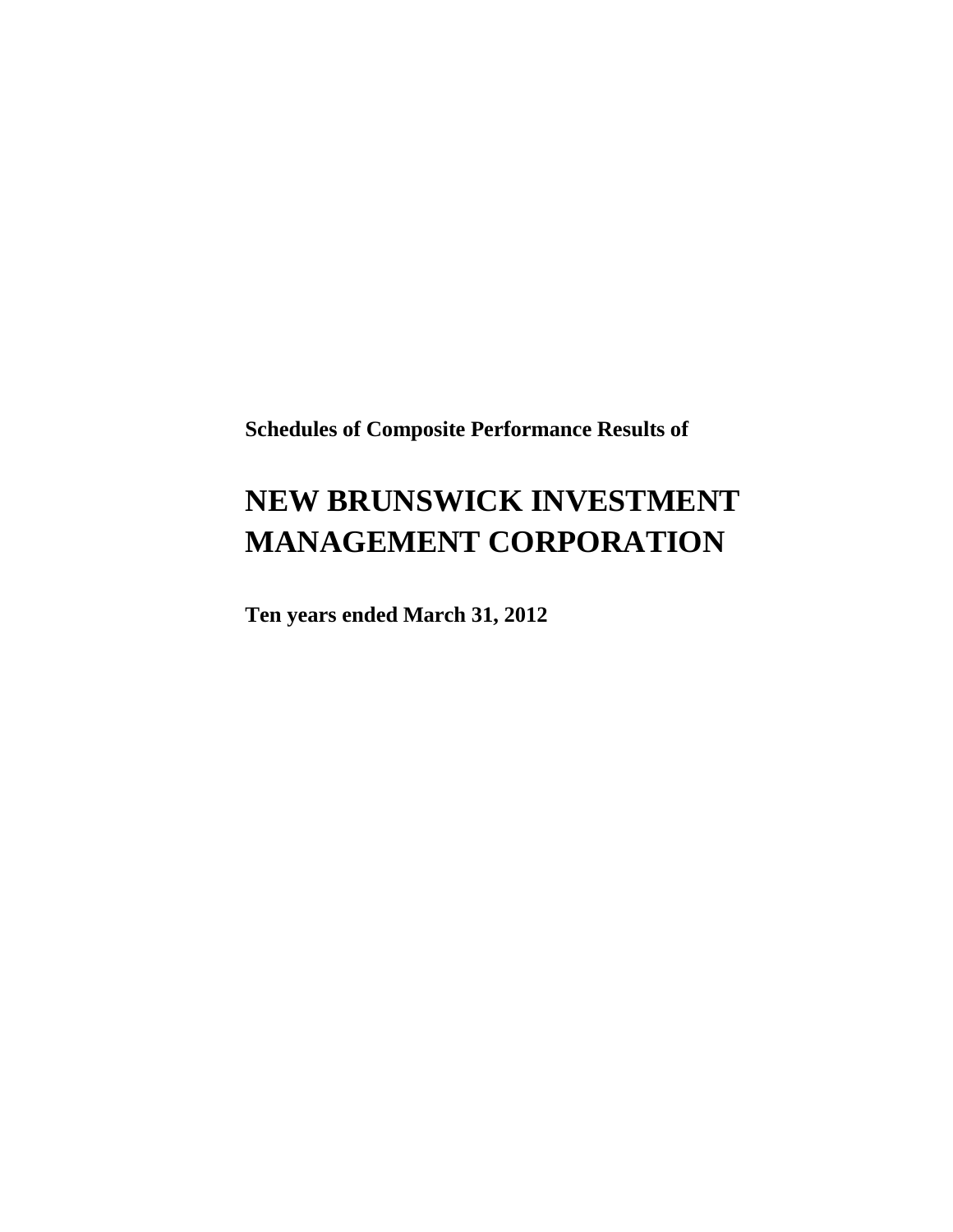**Schedules of Composite Performance Results of**

# **NEW BRUNSWICK INVESTMENT MANAGEMENT CORPORATION**

**Ten years ended March 31, 2012**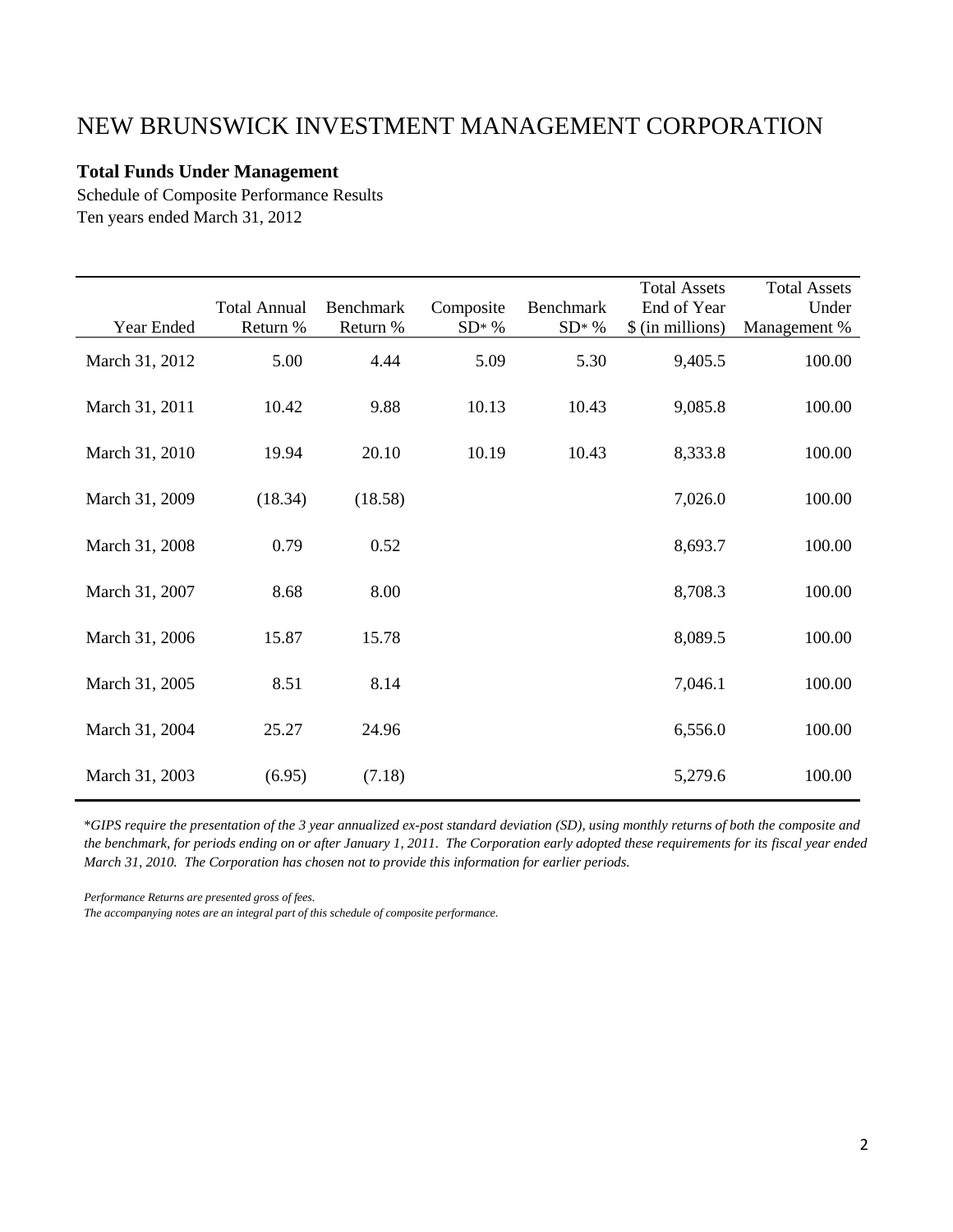#### **Total Funds Under Management**

Schedule of Composite Performance Results Ten years ended March 31, 2012

|                | <b>Total Annual</b> | <b>Benchmark</b> | Composite | Benchmark | <b>Total Assets</b><br>End of Year | <b>Total Assets</b><br>Under |
|----------------|---------------------|------------------|-----------|-----------|------------------------------------|------------------------------|
| Year Ended     | Return %            | Return %         | $SD^*$ %  | $SD^*$ %  | \$ (in millions)                   | Management %                 |
| March 31, 2012 | 5.00                | 4.44             | 5.09      | 5.30      | 9,405.5                            | 100.00                       |
| March 31, 2011 | 10.42               | 9.88             | 10.13     | 10.43     | 9,085.8                            | 100.00                       |
| March 31, 2010 | 19.94               | 20.10            | 10.19     | 10.43     | 8,333.8                            | 100.00                       |
| March 31, 2009 | (18.34)             | (18.58)          |           |           | 7,026.0                            | 100.00                       |
| March 31, 2008 | 0.79                | 0.52             |           |           | 8,693.7                            | 100.00                       |
| March 31, 2007 | 8.68                | 8.00             |           |           | 8,708.3                            | 100.00                       |
| March 31, 2006 | 15.87               | 15.78            |           |           | 8,089.5                            | 100.00                       |
| March 31, 2005 | 8.51                | 8.14             |           |           | 7,046.1                            | 100.00                       |
| March 31, 2004 | 25.27               | 24.96            |           |           | 6,556.0                            | 100.00                       |
| March 31, 2003 | (6.95)              | (7.18)           |           |           | 5,279.6                            | 100.00                       |

\**GIPS require the presentation of the 3 year annualized ex-post standard deviation (SD), using monthly returns of both the composite and the benchmark, for periods ending on or after January 1, 2011. The Corporation early adopted these requirements for its fiscal year ended March 31, 2010. The Corporation has chosen not to provide this information for earlier periods.*

*Performance Returns are presented gross of fees.*

*The accompanying notes are an integral part of this schedule of composite performance.*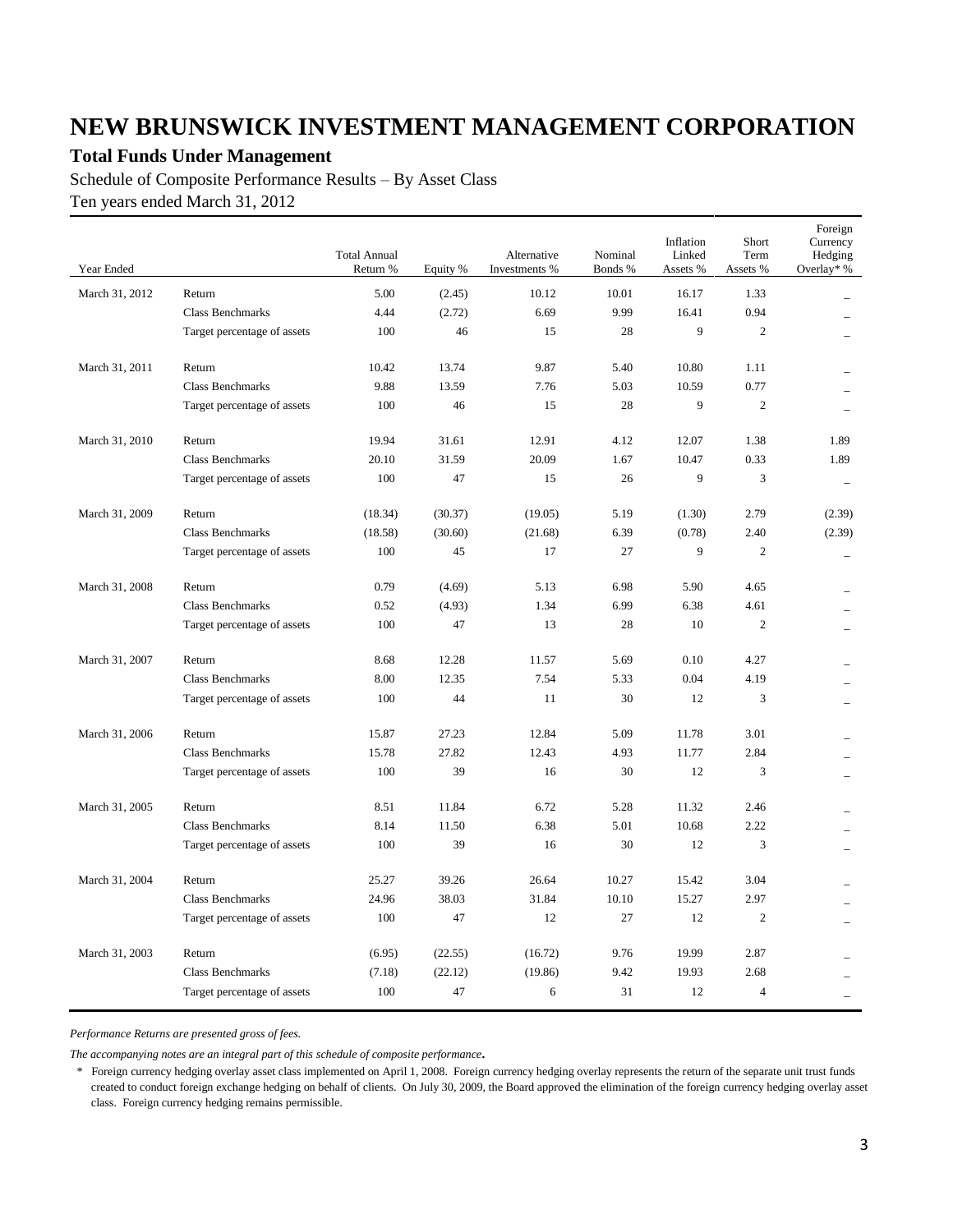### **Total Funds Under Management**

Schedule of Composite Performance Results – By Asset Class Ten years ended March 31, 2012

| Year Ended     |                             | <b>Total Annual</b><br>Return % | Equity % | Alternative<br>Investments % | Nominal<br>Bonds % | Inflation<br>Linked<br>Assets % | Short<br>Term<br>Assets % | Foreign<br>Currency<br>Hedging<br>Overlay* % |
|----------------|-----------------------------|---------------------------------|----------|------------------------------|--------------------|---------------------------------|---------------------------|----------------------------------------------|
| March 31, 2012 | Return                      | 5.00                            | (2.45)   | 10.12                        | 10.01              | 16.17                           | 1.33                      |                                              |
|                | <b>Class Benchmarks</b>     | 4.44                            | (2.72)   | 6.69                         | 9.99               | 16.41                           | 0.94                      |                                              |
|                | Target percentage of assets | 100                             | 46       | 15                           | 28                 | 9                               | $\overline{2}$            |                                              |
| March 31, 2011 | Return                      | 10.42                           | 13.74    | 9.87                         | 5.40               | 10.80                           | 1.11                      |                                              |
|                | Class Benchmarks            | 9.88                            | 13.59    | 7.76                         | 5.03               | 10.59                           | 0.77                      |                                              |
|                | Target percentage of assets | 100                             | 46       | 15                           | 28                 | 9                               | $\overline{2}$            |                                              |
| March 31, 2010 | Return                      | 19.94                           | 31.61    | 12.91                        | 4.12               | 12.07                           | 1.38                      | 1.89                                         |
|                | <b>Class Benchmarks</b>     | 20.10                           | 31.59    | 20.09                        | 1.67               | 10.47                           | 0.33                      | 1.89                                         |
|                | Target percentage of assets | 100                             | 47       | 15                           | 26                 | 9                               | 3                         |                                              |
| March 31, 2009 | Return                      | (18.34)                         | (30.37)  | (19.05)                      | 5.19               | (1.30)                          | 2.79                      | (2.39)                                       |
|                | <b>Class Benchmarks</b>     | (18.58)                         | (30.60)  | (21.68)                      | 6.39               | (0.78)                          | 2.40                      | (2.39)                                       |
|                | Target percentage of assets | 100                             | 45       | 17                           | 27                 | 9                               | $\overline{c}$            |                                              |
| March 31, 2008 | Return                      | 0.79                            | (4.69)   | 5.13                         | 6.98               | 5.90                            | 4.65                      |                                              |
|                | <b>Class Benchmarks</b>     | 0.52                            | (4.93)   | 1.34                         | 6.99               | 6.38                            | 4.61                      |                                              |
|                | Target percentage of assets | 100                             | 47       | 13                           | 28                 | 10                              | $\overline{2}$            |                                              |
| March 31, 2007 | Return                      | 8.68                            | 12.28    | 11.57                        | 5.69               | 0.10                            | 4.27                      |                                              |
|                | Class Benchmarks            | 8.00                            | 12.35    | 7.54                         | 5.33               | 0.04                            | 4.19                      |                                              |
|                | Target percentage of assets | 100                             | 44       | 11                           | 30                 | 12                              | $\overline{3}$            | $\overline{\phantom{0}}$                     |
| March 31, 2006 | Return                      | 15.87                           | 27.23    | 12.84                        | 5.09               | 11.78                           | 3.01                      |                                              |
|                | <b>Class Benchmarks</b>     | 15.78                           | 27.82    | 12.43                        | 4.93               | 11.77                           | 2.84                      |                                              |
|                | Target percentage of assets | 100                             | 39       | 16                           | 30                 | 12                              | 3                         |                                              |
| March 31, 2005 | Return                      | 8.51                            | 11.84    | 6.72                         | 5.28               | 11.32                           | 2.46                      |                                              |
|                | <b>Class Benchmarks</b>     | 8.14                            | 11.50    | 6.38                         | 5.01               | 10.68                           | 2.22                      |                                              |
|                | Target percentage of assets | 100                             | 39       | 16                           | 30                 | 12                              | 3                         | $\overline{\phantom{0}}$                     |
| March 31, 2004 | Return                      | 25.27                           | 39.26    | 26.64                        | 10.27              | 15.42                           | 3.04                      |                                              |
|                | Class Benchmarks            | 24.96                           | 38.03    | 31.84                        | 10.10              | 15.27                           | 2.97                      |                                              |
|                | Target percentage of assets | 100                             | 47       | 12                           | 27                 | 12                              | $\overline{2}$            |                                              |
| March 31, 2003 | Return                      | (6.95)                          | (22.55)  | (16.72)                      | 9.76               | 19.99                           | 2.87                      |                                              |
|                | <b>Class Benchmarks</b>     | (7.18)                          | (22.12)  | (19.86)                      | 9.42               | 19.93                           | 2.68                      |                                              |
|                | Target percentage of assets | 100                             | 47       | 6                            | 31                 | 12                              | $\overline{4}$            |                                              |

*Performance Returns are presented gross of fees.*

*The accompanying notes are an integral part of this schedule of composite performance.*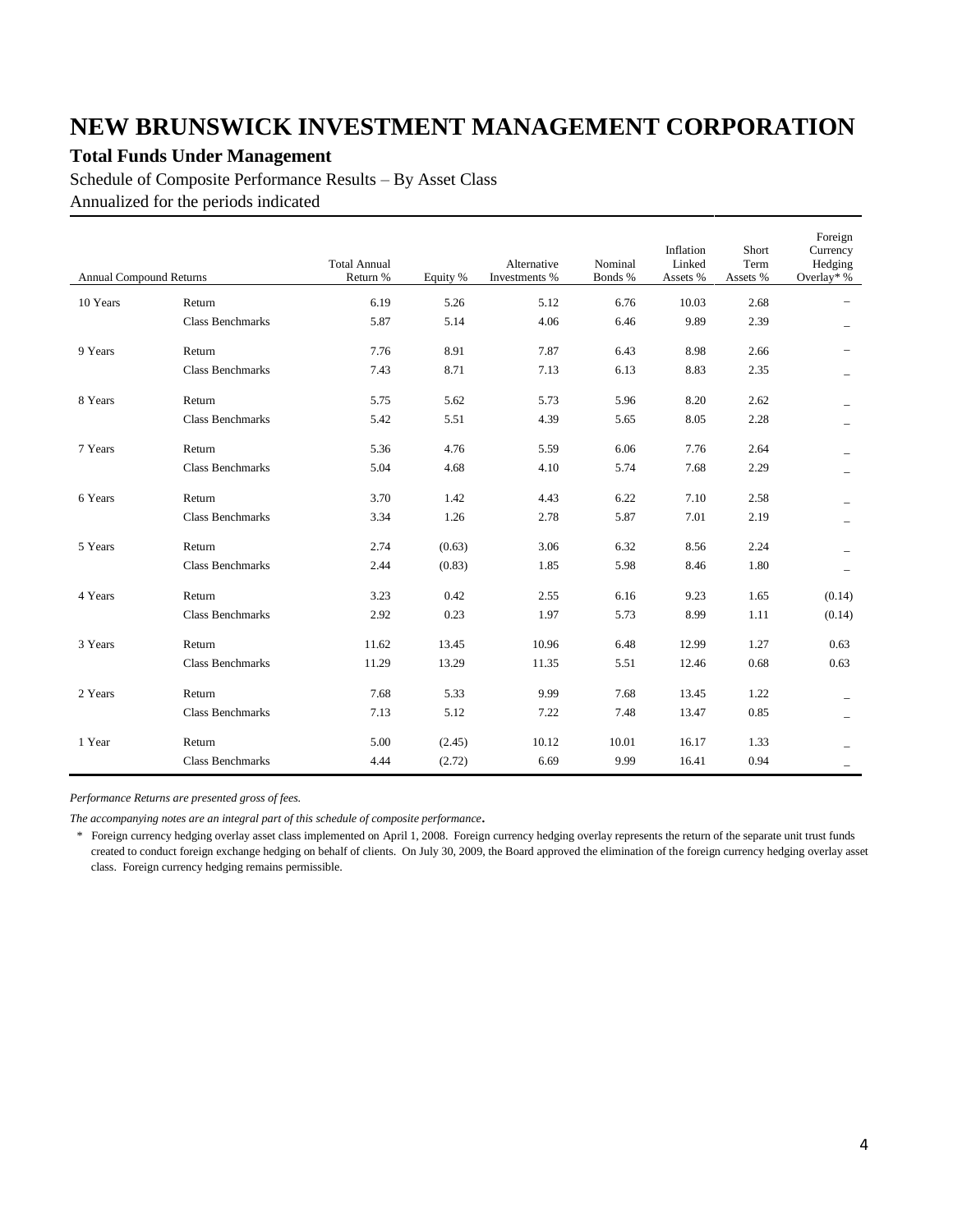### **Total Funds Under Management**

Schedule of Composite Performance Results – By Asset Class Annualized for the periods indicated

| <b>Annual Compound Returns</b> |                         | <b>Total Annual</b><br>Return % | Equity % | Alternative<br>Investments % | Nominal<br>Bonds % | Inflation<br>Linked<br>Assets % | Short<br>Term<br>Assets % | Foreign<br>Currency<br>Hedging<br>Overlay* % |
|--------------------------------|-------------------------|---------------------------------|----------|------------------------------|--------------------|---------------------------------|---------------------------|----------------------------------------------|
| 10 Years                       | Return                  | 6.19                            | 5.26     | 5.12                         | 6.76               | 10.03                           | 2.68                      |                                              |
|                                | <b>Class Benchmarks</b> | 5.87                            | 5.14     | 4.06                         | 6.46               | 9.89                            | 2.39                      |                                              |
| 9 Years                        | Return                  | 7.76                            | 8.91     | 7.87                         | 6.43               | 8.98                            | 2.66                      |                                              |
|                                | <b>Class Benchmarks</b> | 7.43                            | 8.71     | 7.13                         | 6.13               | 8.83                            | 2.35                      | -                                            |
| 8 Years                        | Return                  | 5.75                            | 5.62     | 5.73                         | 5.96               | 8.20                            | 2.62                      |                                              |
|                                | <b>Class Benchmarks</b> | 5.42                            | 5.51     | 4.39                         | 5.65               | 8.05                            | 2.28                      |                                              |
| 7 Years                        | Return                  | 5.36                            | 4.76     | 5.59                         | 6.06               | 7.76                            | 2.64                      |                                              |
|                                | <b>Class Benchmarks</b> | 5.04                            | 4.68     | 4.10                         | 5.74               | 7.68                            | 2.29                      |                                              |
| 6 Years                        | Return                  | 3.70                            | 1.42     | 4.43                         | 6.22               | 7.10                            | 2.58                      |                                              |
|                                | <b>Class Benchmarks</b> | 3.34                            | 1.26     | 2.78                         | 5.87               | 7.01                            | 2.19                      |                                              |
| 5 Years                        | Return                  | 2.74                            | (0.63)   | 3.06                         | 6.32               | 8.56                            | 2.24                      |                                              |
|                                | <b>Class Benchmarks</b> | 2.44                            | (0.83)   | 1.85                         | 5.98               | 8.46                            | 1.80                      |                                              |
| 4 Years                        | Return                  | 3.23                            | 0.42     | 2.55                         | 6.16               | 9.23                            | 1.65                      | (0.14)                                       |
|                                | <b>Class Benchmarks</b> | 2.92                            | 0.23     | 1.97                         | 5.73               | 8.99                            | 1.11                      | (0.14)                                       |
| 3 Years                        | Return                  | 11.62                           | 13.45    | 10.96                        | 6.48               | 12.99                           | 1.27                      | 0.63                                         |
|                                | <b>Class Benchmarks</b> | 11.29                           | 13.29    | 11.35                        | 5.51               | 12.46                           | 0.68                      | 0.63                                         |
| 2 Years                        | Return                  | 7.68                            | 5.33     | 9.99                         | 7.68               | 13.45                           | 1.22                      |                                              |
|                                | <b>Class Benchmarks</b> | 7.13                            | 5.12     | 7.22                         | 7.48               | 13.47                           | 0.85                      |                                              |
| 1 Year                         | Return                  | 5.00                            | (2.45)   | 10.12                        | 10.01              | 16.17                           | 1.33                      |                                              |
|                                | <b>Class Benchmarks</b> | 4.44                            | (2.72)   | 6.69                         | 9.99               | 16.41                           | 0.94                      |                                              |

*Performance Returns are presented gross of fees.*

*The accompanying notes are an integral part of this schedule of composite performance.*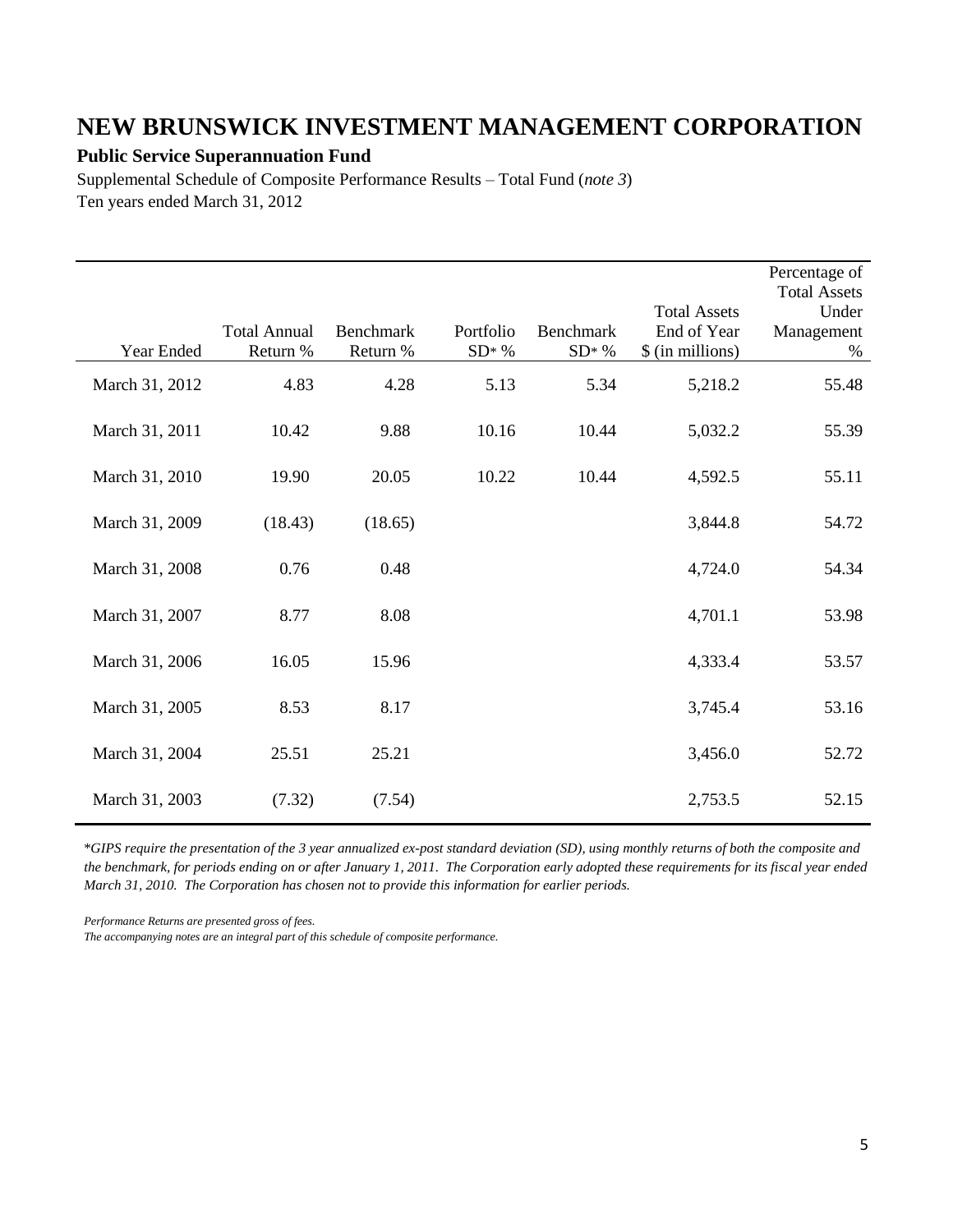#### **Public Service Superannuation Fund**

Supplemental Schedule of Composite Performance Results – Total Fund (*note 3*) Ten years ended March 31, 2012

| Year Ended     | <b>Total Annual</b><br>Return % | Benchmark<br>Return % | Portfolio<br>$SD* %$ | <b>Benchmark</b><br>$SD* %$ | <b>Total Assets</b><br>End of Year<br>\$ (in millions) | Percentage of<br><b>Total Assets</b><br>Under<br>Management<br>$\%$ |
|----------------|---------------------------------|-----------------------|----------------------|-----------------------------|--------------------------------------------------------|---------------------------------------------------------------------|
| March 31, 2012 | 4.83                            | 4.28                  | 5.13                 | 5.34                        | 5,218.2                                                | 55.48                                                               |
| March 31, 2011 | 10.42                           | 9.88                  | 10.16                | 10.44                       | 5,032.2                                                | 55.39                                                               |
| March 31, 2010 | 19.90                           | 20.05                 | 10.22                | 10.44                       | 4,592.5                                                | 55.11                                                               |
| March 31, 2009 | (18.43)                         | (18.65)               |                      |                             | 3,844.8                                                | 54.72                                                               |
| March 31, 2008 | 0.76                            | 0.48                  |                      |                             | 4,724.0                                                | 54.34                                                               |
| March 31, 2007 | 8.77                            | 8.08                  |                      |                             | 4,701.1                                                | 53.98                                                               |
| March 31, 2006 | 16.05                           | 15.96                 |                      |                             | 4,333.4                                                | 53.57                                                               |
| March 31, 2005 | 8.53                            | 8.17                  |                      |                             | 3,745.4                                                | 53.16                                                               |
| March 31, 2004 | 25.51                           | 25.21                 |                      |                             | 3,456.0                                                | 52.72                                                               |
| March 31, 2003 | (7.32)                          | (7.54)                |                      |                             | 2,753.5                                                | 52.15                                                               |

\**GIPS require the presentation of the 3 year annualized ex-post standard deviation (SD), using monthly returns of both the composite and the benchmark, for periods ending on or after January 1, 2011. The Corporation early adopted these requirements for its fiscal year ended March 31, 2010. The Corporation has chosen not to provide this information for earlier periods.*

*Performance Returns are presented gross of fees.*

*The accompanying notes are an integral part of this schedule of composite performance.*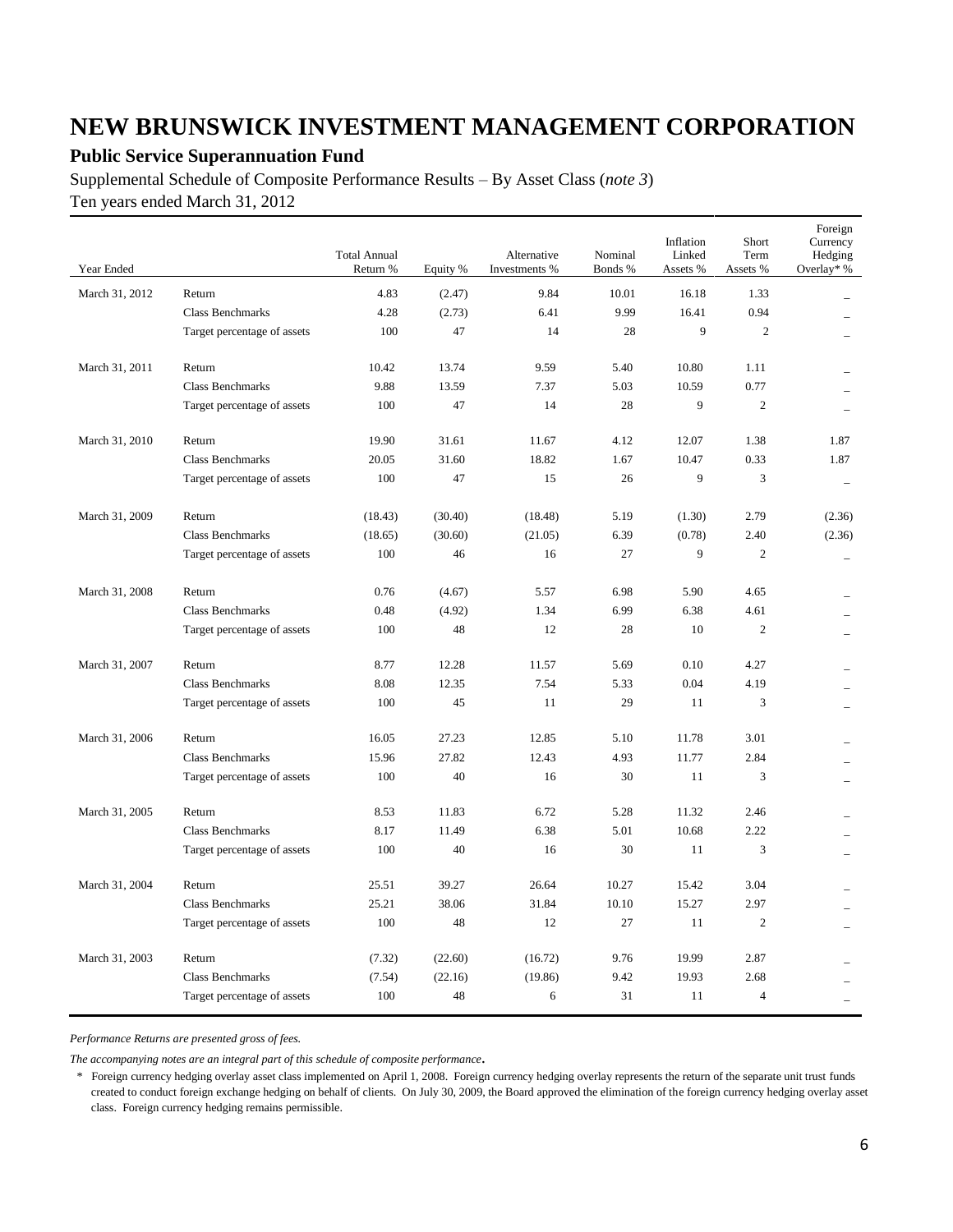### **Public Service Superannuation Fund**

Supplemental Schedule of Composite Performance Results – By Asset Class (*note 3*) Ten years ended March 31, 2012

| Year Ended     |                             | <b>Total Annual</b><br>Return % | Equity % | Alternative<br>Investments % | Nominal<br>Bonds % | Inflation<br>Linked<br>Assets % | Short<br>Term<br>Assets % | Foreign<br>Currency<br>Hedging<br>Overlay* % |
|----------------|-----------------------------|---------------------------------|----------|------------------------------|--------------------|---------------------------------|---------------------------|----------------------------------------------|
| March 31, 2012 | Return                      | 4.83                            | (2.47)   | 9.84                         | 10.01              | 16.18                           | 1.33                      |                                              |
|                | <b>Class Benchmarks</b>     | 4.28                            | (2.73)   | 6.41                         | 9.99               | 16.41                           | 0.94                      |                                              |
|                | Target percentage of assets | 100                             | 47       | 14                           | 28                 | 9                               | $\overline{2}$            |                                              |
|                |                             |                                 |          |                              |                    |                                 |                           |                                              |
| March 31, 2011 | Return                      | 10.42                           | 13.74    | 9.59                         | 5.40               | 10.80                           | 1.11                      |                                              |
|                | <b>Class Benchmarks</b>     | 9.88                            | 13.59    | 7.37                         | 5.03               | 10.59                           | 0.77                      |                                              |
|                | Target percentage of assets | 100                             | 47       | 14                           | 28                 | 9                               | $\mathfrak{2}$            |                                              |
| March 31, 2010 | Return                      | 19.90                           | 31.61    | 11.67                        | 4.12               | 12.07                           | 1.38                      | 1.87                                         |
|                | <b>Class Benchmarks</b>     | 20.05                           | 31.60    | 18.82                        | 1.67               | 10.47                           | 0.33                      | 1.87                                         |
|                | Target percentage of assets | 100                             | 47       | 15                           | 26                 | 9                               | 3                         |                                              |
|                |                             |                                 |          |                              |                    |                                 |                           |                                              |
| March 31, 2009 | Return                      | (18.43)                         | (30.40)  | (18.48)                      | 5.19               | (1.30)                          | 2.79                      | (2.36)                                       |
|                | <b>Class Benchmarks</b>     | (18.65)                         | (30.60)  | (21.05)                      | 6.39               | (0.78)<br>9                     | 2.40<br>$\overline{2}$    | (2.36)                                       |
|                | Target percentage of assets | 100                             | 46       | 16                           | 27                 |                                 |                           | $\overline{\phantom{0}}$                     |
| March 31, 2008 | Return                      | 0.76                            | (4.67)   | 5.57                         | 6.98               | 5.90                            | 4.65                      |                                              |
|                | Class Benchmarks            | 0.48                            | (4.92)   | 1.34                         | 6.99               | 6.38                            | 4.61                      |                                              |
|                | Target percentage of assets | 100                             | 48       | 12                           | 28                 | 10                              | $\overline{2}$            |                                              |
| March 31, 2007 | Return                      | 8.77                            | 12.28    | 11.57                        | 5.69               | 0.10                            | 4.27                      |                                              |
|                | <b>Class Benchmarks</b>     | 8.08                            | 12.35    | 7.54                         | 5.33               | 0.04                            | 4.19                      |                                              |
|                | Target percentage of assets | 100                             | 45       | 11                           | 29                 | 11                              | 3                         |                                              |
| March 31, 2006 | Return                      | 16.05                           | 27.23    | 12.85                        | 5.10               | 11.78                           | 3.01                      |                                              |
|                | <b>Class Benchmarks</b>     | 15.96                           | 27.82    | 12.43                        | 4.93               | 11.77                           | 2.84                      |                                              |
|                | Target percentage of assets | 100                             | 40       | 16                           | 30                 | 11                              | 3                         |                                              |
|                |                             |                                 |          |                              |                    |                                 |                           |                                              |
| March 31, 2005 | Return                      | 8.53                            | 11.83    | 6.72                         | 5.28               | 11.32                           | 2.46                      |                                              |
|                | <b>Class Benchmarks</b>     | 8.17                            | 11.49    | 6.38                         | 5.01               | 10.68                           | 2.22                      |                                              |
|                | Target percentage of assets | 100                             | 40       | 16                           | 30                 | 11                              | 3                         | $\equiv$                                     |
| March 31, 2004 | Return                      | 25.51                           | 39.27    | 26.64                        | 10.27              | 15.42                           | 3.04                      |                                              |
|                | <b>Class Benchmarks</b>     | 25.21                           | 38.06    | 31.84                        | 10.10              | 15.27                           | 2.97                      |                                              |
|                | Target percentage of assets | 100                             | 48       | 12                           | 27                 | 11                              | $\mathbf{2}$              |                                              |
|                |                             |                                 |          |                              |                    |                                 |                           |                                              |
| March 31, 2003 | Return                      | (7.32)                          | (22.60)  | (16.72)                      | 9.76               | 19.99                           | 2.87                      |                                              |
|                | Class Benchmarks            | (7.54)                          | (22.16)  | (19.86)                      | 9.42               | 19.93                           | 2.68                      |                                              |
|                | Target percentage of assets | 100                             | 48       | 6                            | 31                 | 11                              | $\overline{4}$            |                                              |

*Performance Returns are presented gross of fees.*

*The accompanying notes are an integral part of this schedule of composite performance.*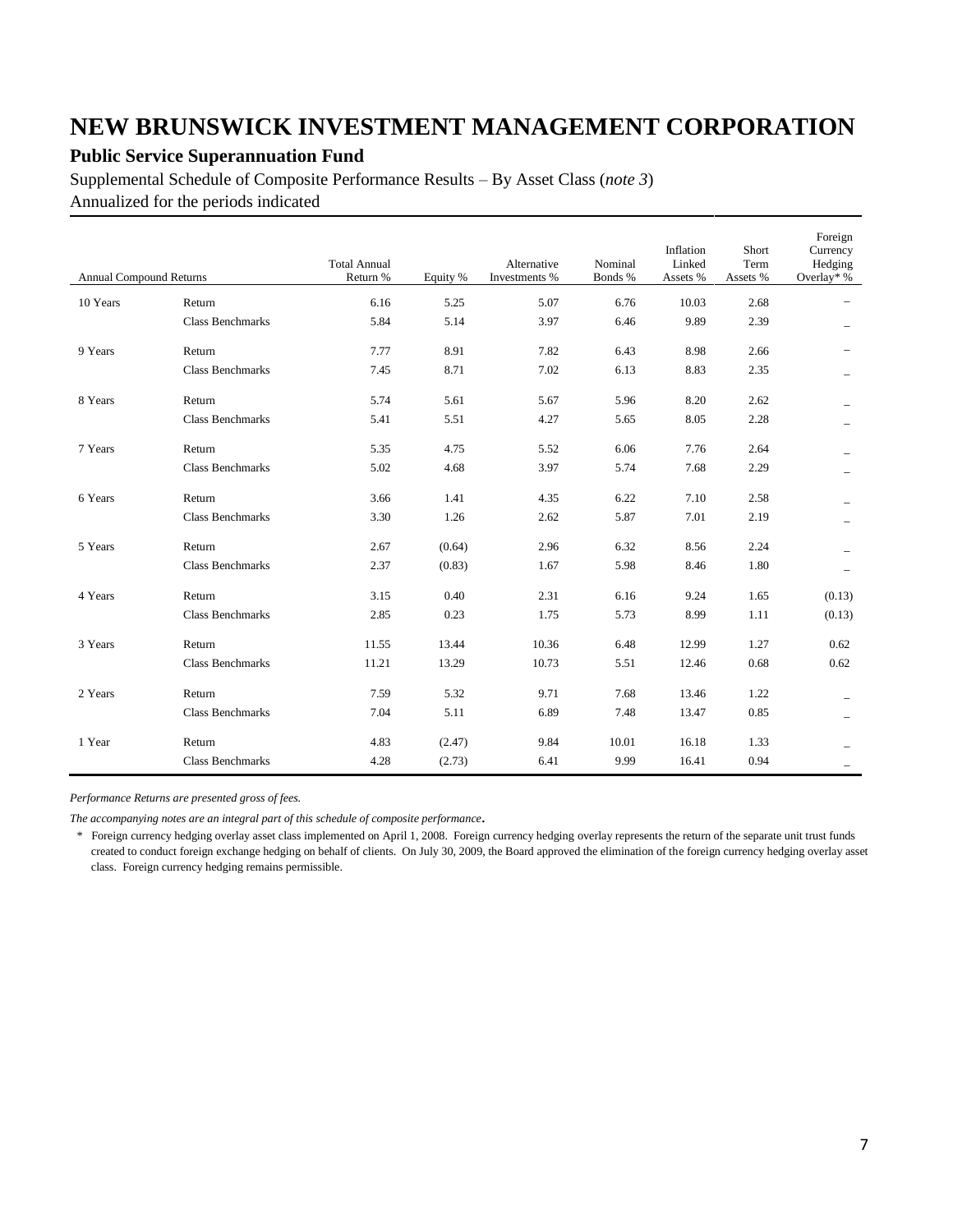### **Public Service Superannuation Fund**

Supplemental Schedule of Composite Performance Results – By Asset Class (*note 3*) Annualized for the periods indicated

| <b>Annual Compound Returns</b> |                         | <b>Total Annual</b><br>Return % | Equity % | Alternative<br>Investments % | Nominal<br>Bonds % | Inflation<br>Linked<br>Assets % | Short<br>Term<br>Assets % | Foreign<br>Currency<br>Hedging<br>Overlay* % |
|--------------------------------|-------------------------|---------------------------------|----------|------------------------------|--------------------|---------------------------------|---------------------------|----------------------------------------------|
| 10 Years                       | Return                  | 6.16                            | 5.25     | 5.07                         | 6.76               | 10.03                           | 2.68                      |                                              |
|                                | <b>Class Benchmarks</b> | 5.84                            | 5.14     | 3.97                         | 6.46               | 9.89                            | 2.39                      |                                              |
| 9 Years                        | Return                  | 7.77                            | 8.91     | 7.82                         | 6.43               | 8.98                            | 2.66                      |                                              |
|                                | <b>Class Benchmarks</b> | 7.45                            | 8.71     | 7.02                         | 6.13               | 8.83                            | 2.35                      |                                              |
| 8 Years                        | Return                  | 5.74                            | 5.61     | 5.67                         | 5.96               | 8.20                            | 2.62                      |                                              |
|                                | <b>Class Benchmarks</b> | 5.41                            | 5.51     | 4.27                         | 5.65               | 8.05                            | 2.28                      |                                              |
| 7 Years                        | Return                  | 5.35                            | 4.75     | 5.52                         | 6.06               | 7.76                            | 2.64                      |                                              |
|                                | <b>Class Benchmarks</b> | 5.02                            | 4.68     | 3.97                         | 5.74               | 7.68                            | 2.29                      |                                              |
| 6 Years                        | Return                  | 3.66                            | 1.41     | 4.35                         | 6.22               | 7.10                            | 2.58                      |                                              |
|                                | <b>Class Benchmarks</b> | 3.30                            | 1.26     | 2.62                         | 5.87               | 7.01                            | 2.19                      |                                              |
| 5 Years                        | Return                  | 2.67                            | (0.64)   | 2.96                         | 6.32               | 8.56                            | 2.24                      |                                              |
|                                | <b>Class Benchmarks</b> | 2.37                            | (0.83)   | 1.67                         | 5.98               | 8.46                            | 1.80                      |                                              |
| 4 Years                        | Return                  | 3.15                            | 0.40     | 2.31                         | 6.16               | 9.24                            | 1.65                      | (0.13)                                       |
|                                | <b>Class Benchmarks</b> | 2.85                            | 0.23     | 1.75                         | 5.73               | 8.99                            | 1.11                      | (0.13)                                       |
| 3 Years                        | Return                  | 11.55                           | 13.44    | 10.36                        | 6.48               | 12.99                           | 1.27                      | 0.62                                         |
|                                | <b>Class Benchmarks</b> | 11.21                           | 13.29    | 10.73                        | 5.51               | 12.46                           | 0.68                      | 0.62                                         |
| 2 Years                        | Return                  | 7.59                            | 5.32     | 9.71                         | 7.68               | 13.46                           | 1.22                      |                                              |
|                                | <b>Class Benchmarks</b> | 7.04                            | 5.11     | 6.89                         | 7.48               | 13.47                           | 0.85                      | -                                            |
| 1 Year                         | Return                  | 4.83                            | (2.47)   | 9.84                         | 10.01              | 16.18                           | 1.33                      |                                              |
|                                | <b>Class Benchmarks</b> | 4.28                            | (2.73)   | 6.41                         | 9.99               | 16.41                           | 0.94                      |                                              |

*Performance Returns are presented gross of fees.*

*The accompanying notes are an integral part of this schedule of composite performance.*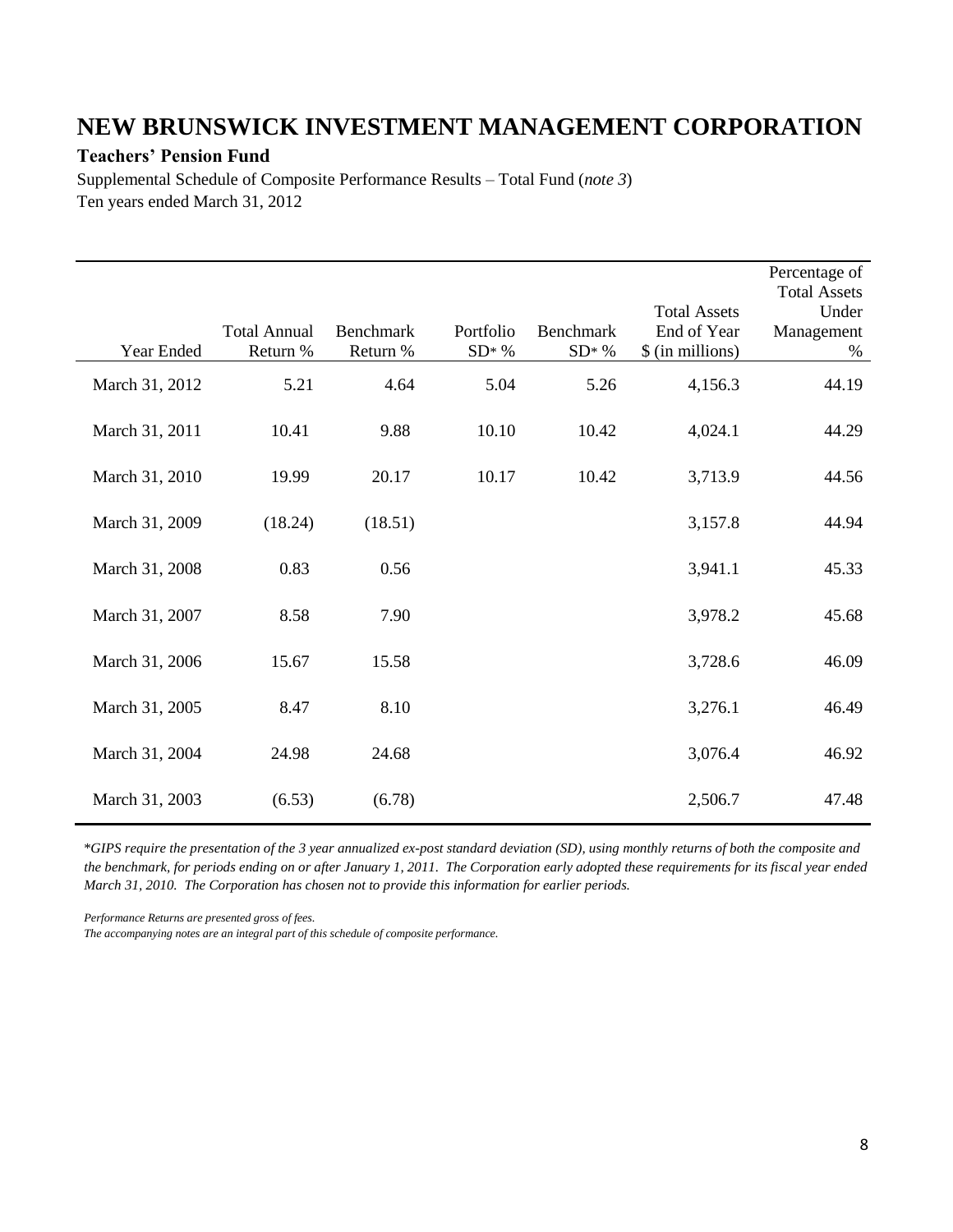#### **Teachers' Pension Fund**

Î.

Supplemental Schedule of Composite Performance Results – Total Fund (*note 3*) Ten years ended March 31, 2012

| Year Ended     | <b>Total Annual</b><br>Return % | <b>Benchmark</b><br>Return % | Portfolio<br>$SD^*$ % | Benchmark<br>$SD* %$ | <b>Total Assets</b><br>End of Year<br>\$ (in millions) | Percentage of<br><b>Total Assets</b><br>Under<br>Management<br>$\%$ |
|----------------|---------------------------------|------------------------------|-----------------------|----------------------|--------------------------------------------------------|---------------------------------------------------------------------|
| March 31, 2012 | 5.21                            | 4.64                         | 5.04                  | 5.26                 | 4,156.3                                                | 44.19                                                               |
| March 31, 2011 | 10.41                           | 9.88                         | 10.10                 | 10.42                | 4,024.1                                                | 44.29                                                               |
| March 31, 2010 | 19.99                           | 20.17                        | 10.17                 | 10.42                | 3,713.9                                                | 44.56                                                               |
| March 31, 2009 | (18.24)                         | (18.51)                      |                       |                      | 3,157.8                                                | 44.94                                                               |
| March 31, 2008 | 0.83                            | 0.56                         |                       |                      | 3,941.1                                                | 45.33                                                               |
| March 31, 2007 | 8.58                            | 7.90                         |                       |                      | 3,978.2                                                | 45.68                                                               |
| March 31, 2006 | 15.67                           | 15.58                        |                       |                      | 3,728.6                                                | 46.09                                                               |
| March 31, 2005 | 8.47                            | 8.10                         |                       |                      | 3,276.1                                                | 46.49                                                               |
| March 31, 2004 | 24.98                           | 24.68                        |                       |                      | 3,076.4                                                | 46.92                                                               |
| March 31, 2003 | (6.53)                          | (6.78)                       |                       |                      | 2,506.7                                                | 47.48                                                               |

\**GIPS require the presentation of the 3 year annualized ex-post standard deviation (SD), using monthly returns of both the composite and the benchmark, for periods ending on or after January 1, 2011. The Corporation early adopted these requirements for its fiscal year ended March 31, 2010. The Corporation has chosen not to provide this information for earlier periods.*

*Performance Returns are presented gross of fees.*

*The accompanying notes are an integral part of this schedule of composite performance.*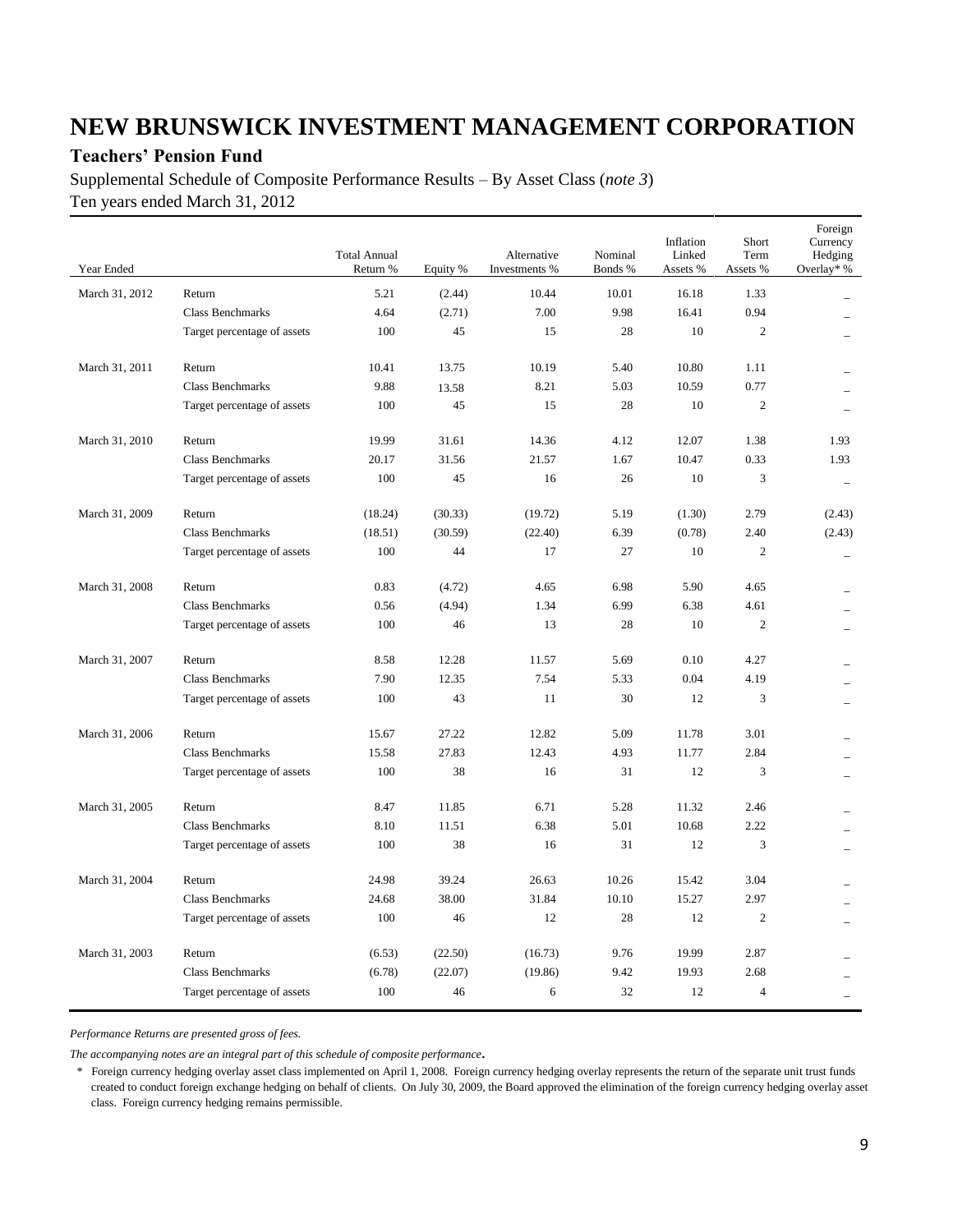### **Teachers' Pension Fund**

Supplemental Schedule of Composite Performance Results – By Asset Class (*note 3*) Ten years ended March 31, 2012

| Year Ended     |                             | <b>Total Annual</b><br>Return % | Equity % | Alternative<br>Investments % | Nominal<br>Bonds % | Inflation<br>Linked<br>Assets % | Short<br>Term<br>Assets % | Foreign<br>Currency<br>Hedging<br>Overlay* % |
|----------------|-----------------------------|---------------------------------|----------|------------------------------|--------------------|---------------------------------|---------------------------|----------------------------------------------|
| March 31, 2012 | Return                      | 5.21                            | (2.44)   | 10.44                        | 10.01              | 16.18                           | 1.33                      |                                              |
|                | <b>Class Benchmarks</b>     | 4.64                            | (2.71)   | 7.00                         | 9.98               | 16.41                           | 0.94                      |                                              |
|                | Target percentage of assets | 100                             | 45       | 15                           | 28                 | 10                              | $\mathbf{2}$              |                                              |
| March 31, 2011 | Return                      | 10.41                           | 13.75    | 10.19                        | 5.40               | 10.80                           | 1.11                      |                                              |
|                | <b>Class Benchmarks</b>     | 9.88                            | 13.58    | 8.21                         | 5.03               | 10.59                           | 0.77                      |                                              |
|                | Target percentage of assets | 100                             | 45       | 15                           | 28                 | 10                              | $\overline{c}$            |                                              |
| March 31, 2010 | Return                      | 19.99                           | 31.61    | 14.36                        | 4.12               | 12.07                           | 1.38                      | 1.93                                         |
|                | <b>Class Benchmarks</b>     | 20.17                           | 31.56    | 21.57                        | 1.67               | 10.47                           | 0.33                      | 1.93                                         |
|                | Target percentage of assets | 100                             | 45       | 16                           | 26                 | 10                              | 3                         |                                              |
| March 31, 2009 | Return                      | (18.24)                         | (30.33)  | (19.72)                      | 5.19               | (1.30)                          | 2.79                      | (2.43)                                       |
|                | <b>Class Benchmarks</b>     | (18.51)                         | (30.59)  | (22.40)                      | 6.39               | (0.78)                          | 2.40                      | (2.43)                                       |
|                | Target percentage of assets | 100                             | 44       | 17                           | 27                 | 10                              | $\mathfrak{2}$            | $\equiv$                                     |
| March 31, 2008 | Return                      | 0.83                            | (4.72)   | 4.65                         | 6.98               | 5.90                            | 4.65                      |                                              |
|                | <b>Class Benchmarks</b>     | 0.56                            | (4.94)   | 1.34                         | 6.99               | 6.38                            | 4.61                      |                                              |
|                | Target percentage of assets | 100                             | 46       | 13                           | 28                 | 10                              | $\overline{2}$            |                                              |
| March 31, 2007 | Return                      | 8.58                            | 12.28    | 11.57                        | 5.69               | 0.10                            | 4.27                      |                                              |
|                | <b>Class Benchmarks</b>     | 7.90                            | 12.35    | 7.54                         | 5.33               | 0.04                            | 4.19                      |                                              |
|                | Target percentage of assets | 100                             | 43       | 11                           | 30                 | 12                              | 3                         |                                              |
| March 31, 2006 | Return                      | 15.67                           | 27.22    | 12.82                        | 5.09               | 11.78                           | 3.01                      |                                              |
|                | <b>Class Benchmarks</b>     | 15.58                           | 27.83    | 12.43                        | 4.93               | 11.77                           | 2.84                      |                                              |
|                | Target percentage of assets | 100                             | 38       | 16                           | 31                 | 12                              | 3                         |                                              |
| March 31, 2005 | Return                      | 8.47                            | 11.85    | 6.71                         | 5.28               | 11.32                           | 2.46                      |                                              |
|                | Class Benchmarks            | 8.10                            | 11.51    | 6.38                         | 5.01               | 10.68                           | 2.22                      |                                              |
|                | Target percentage of assets | 100                             | 38       | 16                           | 31                 | 12                              | $\mathfrak{Z}$            |                                              |
| March 31, 2004 | Return                      | 24.98                           | 39.24    | 26.63                        | 10.26              | 15.42                           | 3.04                      |                                              |
|                | <b>Class Benchmarks</b>     | 24.68                           | 38.00    | 31.84                        | 10.10              | 15.27                           | 2.97                      |                                              |
|                | Target percentage of assets | 100                             | 46       | 12                           | 28                 | 12                              | $\overline{2}$            |                                              |
| March 31, 2003 | Return                      | (6.53)                          | (22.50)  | (16.73)                      | 9.76               | 19.99                           | 2.87                      |                                              |
|                | <b>Class Benchmarks</b>     | (6.78)                          | (22.07)  | (19.86)                      | 9.42               | 19.93                           | 2.68                      |                                              |
|                | Target percentage of assets | 100                             | 46       | 6                            | 32                 | 12                              | $\overline{4}$            |                                              |

*Performance Returns are presented gross of fees.*

*The accompanying notes are an integral part of this schedule of composite performance.*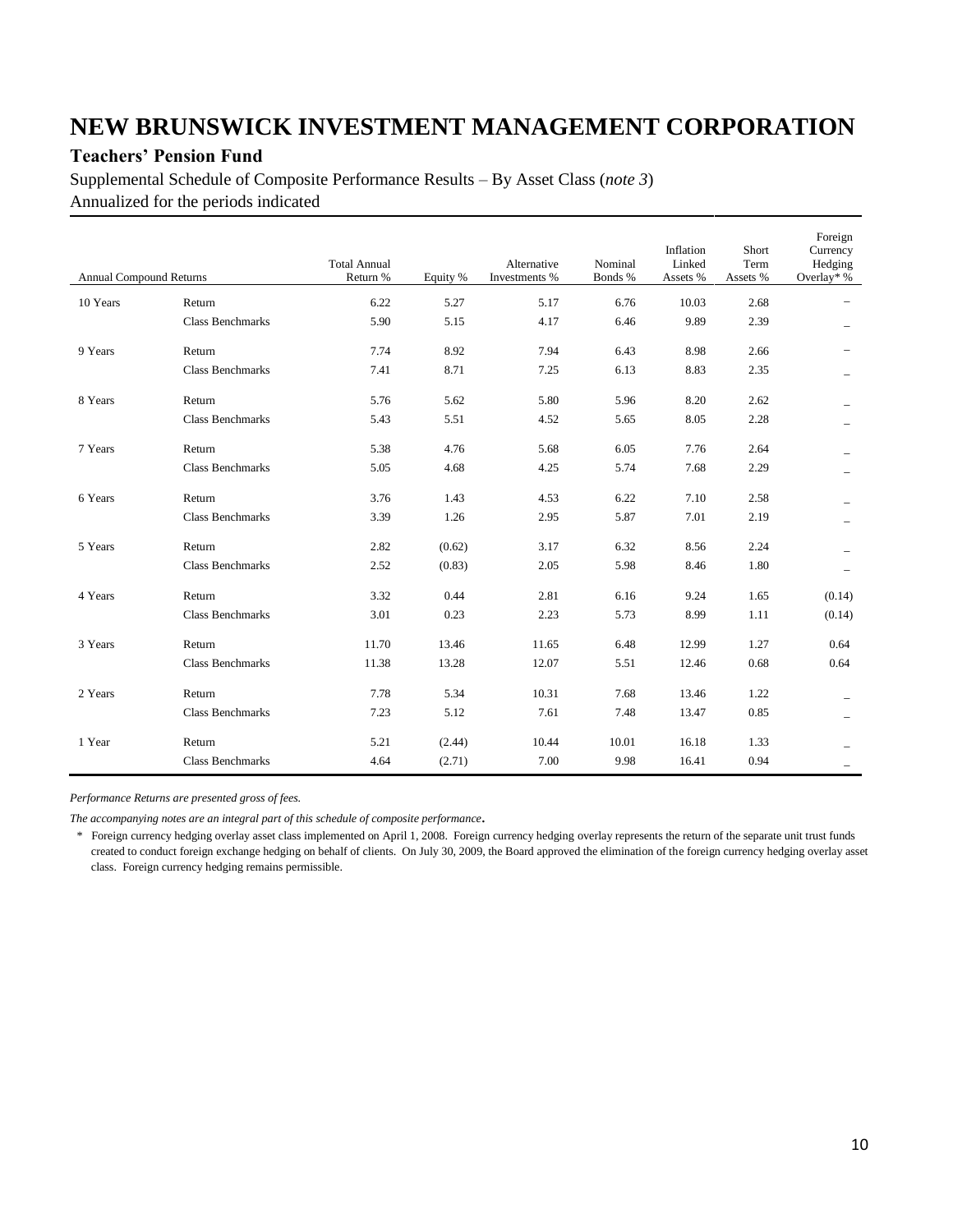### **Teachers' Pension Fund**

Supplemental Schedule of Composite Performance Results – By Asset Class (*note 3*) Annualized for the periods indicated

| <b>Annual Compound Returns</b> |                         | <b>Total Annual</b><br>Return % | Equity % | Alternative<br>Investments % | Nominal<br>Bonds % | Inflation<br>Linked<br>Assets % | Short<br>Term<br>Assets % | Foreign<br>Currency<br>Hedging<br>Overlay* % |
|--------------------------------|-------------------------|---------------------------------|----------|------------------------------|--------------------|---------------------------------|---------------------------|----------------------------------------------|
| 10 Years                       | Return                  | 6.22                            | 5.27     | 5.17                         | 6.76               | 10.03                           | 2.68                      |                                              |
|                                | <b>Class Benchmarks</b> | 5.90                            | 5.15     | 4.17                         | 6.46               | 9.89                            | 2.39                      |                                              |
| 9 Years                        | Return                  | 7.74                            | 8.92     | 7.94                         | 6.43               | 8.98                            | 2.66                      |                                              |
|                                | <b>Class Benchmarks</b> | 7.41                            | 8.71     | 7.25                         | 6.13               | 8.83                            | 2.35                      |                                              |
| 8 Years                        | Return                  | 5.76                            | 5.62     | 5.80                         | 5.96               | 8.20                            | 2.62                      |                                              |
|                                | <b>Class Benchmarks</b> | 5.43                            | 5.51     | 4.52                         | 5.65               | 8.05                            | 2.28                      |                                              |
| 7 Years                        | Return                  | 5.38                            | 4.76     | 5.68                         | 6.05               | 7.76                            | 2.64                      |                                              |
|                                | <b>Class Benchmarks</b> | 5.05                            | 4.68     | 4.25                         | 5.74               | 7.68                            | 2.29                      |                                              |
| 6 Years                        | Return                  | 3.76                            | 1.43     | 4.53                         | 6.22               | 7.10                            | 2.58                      |                                              |
|                                | <b>Class Benchmarks</b> | 3.39                            | 1.26     | 2.95                         | 5.87               | 7.01                            | 2.19                      |                                              |
| 5 Years                        | Return                  | 2.82                            | (0.62)   | 3.17                         | 6.32               | 8.56                            | 2.24                      |                                              |
|                                | <b>Class Benchmarks</b> | 2.52                            | (0.83)   | 2.05                         | 5.98               | 8.46                            | 1.80                      |                                              |
| 4 Years                        | Return                  | 3.32                            | 0.44     | 2.81                         | 6.16               | 9.24                            | 1.65                      | (0.14)                                       |
|                                | <b>Class Benchmarks</b> | 3.01                            | 0.23     | 2.23                         | 5.73               | 8.99                            | 1.11                      | (0.14)                                       |
| 3 Years                        | Return                  | 11.70                           | 13.46    | 11.65                        | 6.48               | 12.99                           | 1.27                      | 0.64                                         |
|                                | <b>Class Benchmarks</b> | 11.38                           | 13.28    | 12.07                        | 5.51               | 12.46                           | 0.68                      | 0.64                                         |
| 2 Years                        | Return                  | 7.78                            | 5.34     | 10.31                        | 7.68               | 13.46                           | 1.22                      |                                              |
|                                | <b>Class Benchmarks</b> | 7.23                            | 5.12     | 7.61                         | 7.48               | 13.47                           | 0.85                      |                                              |
| 1 Year                         | Return                  | 5.21                            | (2.44)   | 10.44                        | 10.01              | 16.18                           | 1.33                      |                                              |
|                                | <b>Class Benchmarks</b> | 4.64                            | (2.71)   | 7.00                         | 9.98               | 16.41                           | 0.94                      |                                              |

*Performance Returns are presented gross of fees.*

*The accompanying notes are an integral part of this schedule of composite performance.*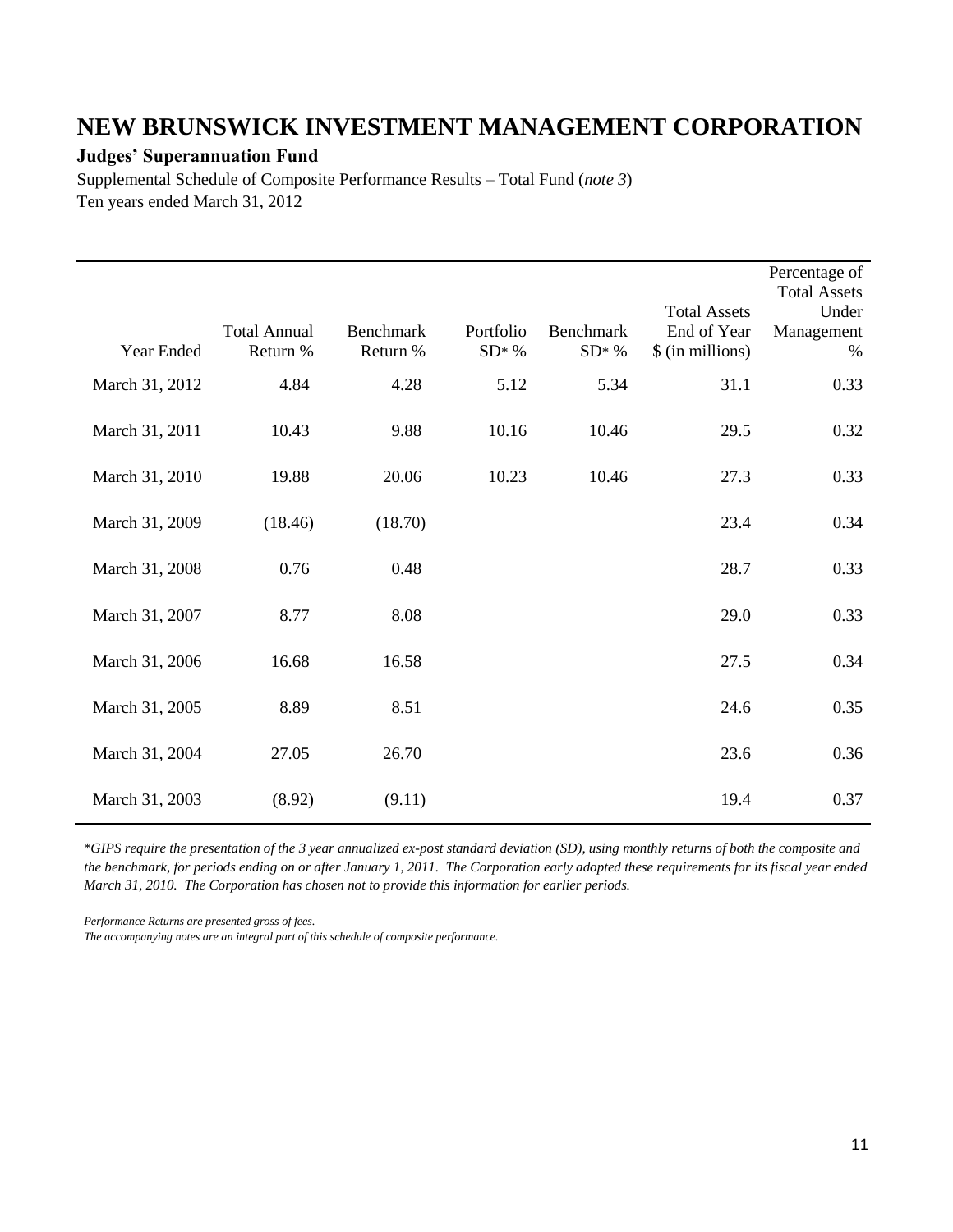### **Judges' Superannuation Fund**

Supplemental Schedule of Composite Performance Results – Total Fund (*note 3*) Ten years ended March 31, 2012

| Year Ended     | <b>Total Annual</b><br>Return % | Benchmark<br>Return % | Portfolio<br>$SD* %$ | <b>Benchmark</b><br>$SD^*$ % | <b>Total Assets</b><br>End of Year<br>\$ (in millions) | Percentage of<br><b>Total Assets</b><br>Under<br>Management<br>$\%$ |
|----------------|---------------------------------|-----------------------|----------------------|------------------------------|--------------------------------------------------------|---------------------------------------------------------------------|
| March 31, 2012 | 4.84                            | 4.28                  | 5.12                 | 5.34                         | 31.1                                                   | 0.33                                                                |
| March 31, 2011 | 10.43                           | 9.88                  | 10.16                | 10.46                        | 29.5                                                   | 0.32                                                                |
| March 31, 2010 | 19.88                           | 20.06                 | 10.23                | 10.46                        | 27.3                                                   | 0.33                                                                |
| March 31, 2009 | (18.46)                         | (18.70)               |                      |                              | 23.4                                                   | 0.34                                                                |
| March 31, 2008 | 0.76                            | 0.48                  |                      |                              | 28.7                                                   | 0.33                                                                |
| March 31, 2007 | 8.77                            | 8.08                  |                      |                              | 29.0                                                   | 0.33                                                                |
| March 31, 2006 | 16.68                           | 16.58                 |                      |                              | 27.5                                                   | 0.34                                                                |
| March 31, 2005 | 8.89                            | 8.51                  |                      |                              | 24.6                                                   | 0.35                                                                |
| March 31, 2004 | 27.05                           | 26.70                 |                      |                              | 23.6                                                   | 0.36                                                                |
| March 31, 2003 | (8.92)                          | (9.11)                |                      |                              | 19.4                                                   | 0.37                                                                |

\**GIPS require the presentation of the 3 year annualized ex-post standard deviation (SD), using monthly returns of both the composite and the benchmark, for periods ending on or after January 1, 2011. The Corporation early adopted these requirements for its fiscal year ended March 31, 2010. The Corporation has chosen not to provide this information for earlier periods.*

*Performance Returns are presented gross of fees.*

*The accompanying notes are an integral part of this schedule of composite performance.*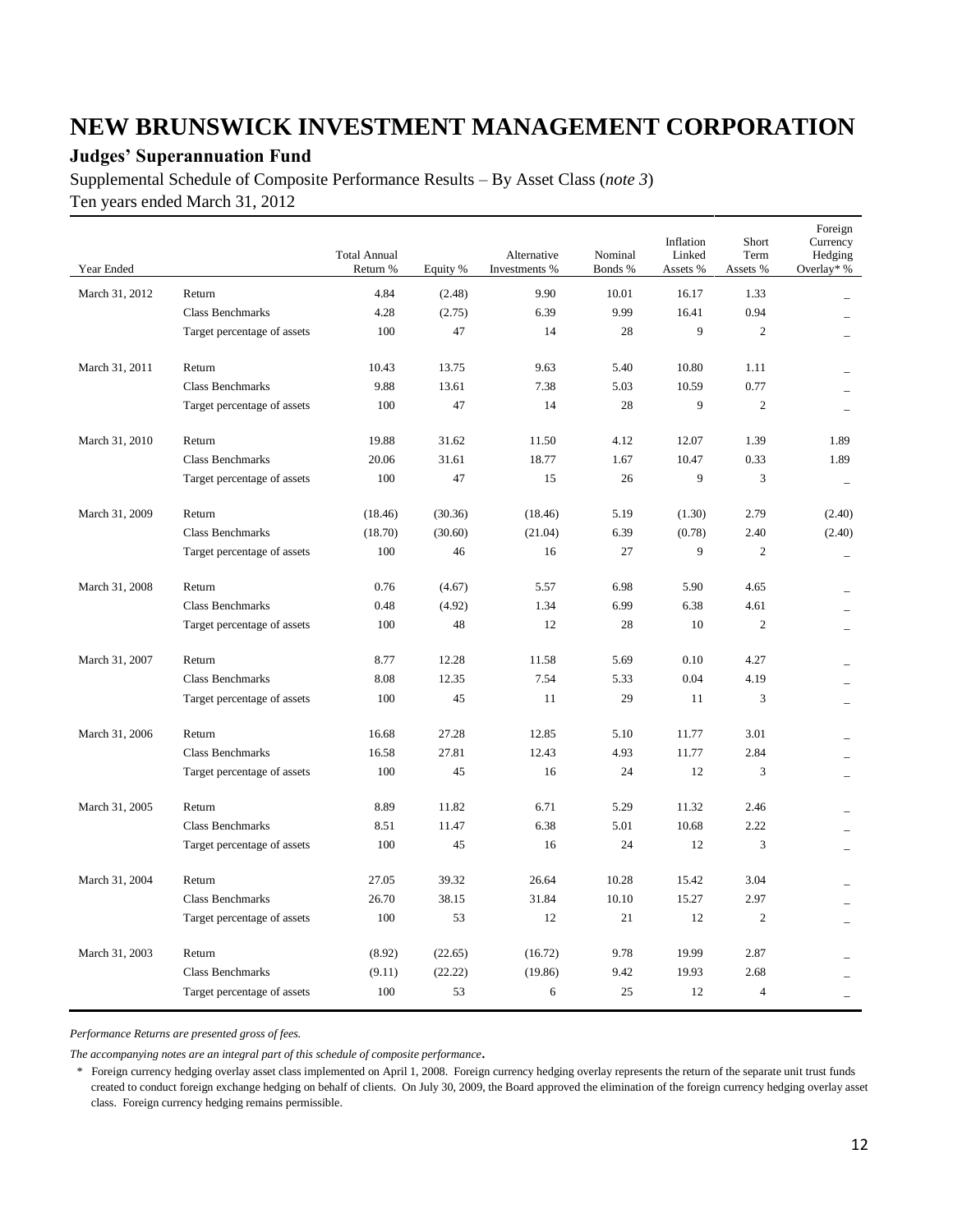### **Judges' Superannuation Fund**

Supplemental Schedule of Composite Performance Results – By Asset Class (*note 3*) Ten years ended March 31, 2012

| Year Ended     |                             | <b>Total Annual</b><br>Return % | Equity % | Alternative<br>Investments % | Nominal<br>Bonds % | Inflation<br>Linked<br>Assets % | Short<br>Term<br>Assets % | Foreign<br>Currency<br>Hedging<br>Overlay* % |
|----------------|-----------------------------|---------------------------------|----------|------------------------------|--------------------|---------------------------------|---------------------------|----------------------------------------------|
| March 31, 2012 | Return                      | 4.84                            | (2.48)   | 9.90                         | 10.01              | 16.17                           | 1.33                      |                                              |
|                | <b>Class Benchmarks</b>     | 4.28                            | (2.75)   | 6.39                         | 9.99               | 16.41                           | 0.94                      |                                              |
|                | Target percentage of assets | 100                             | 47       | 14                           | 28                 | 9                               | $\overline{c}$            |                                              |
|                |                             |                                 |          |                              |                    |                                 |                           |                                              |
| March 31, 2011 | Return                      | 10.43                           | 13.75    | 9.63                         | 5.40               | 10.80                           | 1.11                      |                                              |
|                | <b>Class Benchmarks</b>     | 9.88                            | 13.61    | 7.38                         | 5.03               | 10.59                           | 0.77                      |                                              |
|                | Target percentage of assets | 100                             | 47       | 14                           | 28                 | 9                               | $\overline{2}$            |                                              |
| March 31, 2010 | Return                      | 19.88                           | 31.62    | 11.50                        | 4.12               | 12.07                           | 1.39                      | 1.89                                         |
|                | <b>Class Benchmarks</b>     | 20.06                           | 31.61    | 18.77                        | 1.67               | 10.47                           | 0.33                      | 1.89                                         |
|                | Target percentage of assets | 100                             | 47       | 15                           | 26                 | 9                               | 3                         | $\overline{\phantom{m}}$                     |
| March 31, 2009 | Return                      | (18.46)                         | (30.36)  | (18.46)                      | 5.19               | (1.30)                          | 2.79                      | (2.40)                                       |
|                | <b>Class Benchmarks</b>     | (18.70)                         | (30.60)  | (21.04)                      | 6.39               | (0.78)                          | 2.40                      | (2.40)                                       |
|                | Target percentage of assets | 100                             | 46       | 16                           | 27                 | 9                               | $\overline{c}$            |                                              |
|                |                             |                                 |          |                              |                    |                                 |                           | $\overline{\phantom{a}}$                     |
| March 31, 2008 | Return                      | 0.76                            | (4.67)   | 5.57                         | 6.98               | 5.90                            | 4.65                      |                                              |
|                | <b>Class Benchmarks</b>     | 0.48                            | (4.92)   | 1.34                         | 6.99               | 6.38                            | 4.61                      |                                              |
|                | Target percentage of assets | 100                             | 48       | 12                           | 28                 | 10                              | $\overline{2}$            |                                              |
| March 31, 2007 | Return                      | 8.77                            | 12.28    | 11.58                        | 5.69               | 0.10                            | 4.27                      |                                              |
|                | <b>Class Benchmarks</b>     | 8.08                            | 12.35    | 7.54                         | 5.33               | 0.04                            | 4.19                      |                                              |
|                | Target percentage of assets | 100                             | 45       | 11                           | 29                 | 11                              | $\overline{3}$            |                                              |
| March 31, 2006 | Return                      | 16.68                           | 27.28    | 12.85                        | 5.10               | 11.77                           | 3.01                      |                                              |
|                | Class Benchmarks            | 16.58                           | 27.81    | 12.43                        | 4.93               | 11.77                           | 2.84                      |                                              |
|                | Target percentage of assets | 100                             | 45       | 16                           | 24                 | 12                              | 3                         |                                              |
|                |                             |                                 |          |                              |                    |                                 |                           |                                              |
| March 31, 2005 | Return                      | 8.89                            | 11.82    | 6.71                         | 5.29               | 11.32                           | 2.46                      |                                              |
|                | <b>Class Benchmarks</b>     | 8.51                            | 11.47    | 6.38                         | 5.01               | 10.68                           | 2.22                      |                                              |
|                | Target percentage of assets | 100                             | 45       | 16                           | 24                 | 12                              | 3                         |                                              |
| March 31, 2004 | Return                      | 27.05                           | 39.32    | 26.64                        | 10.28              | 15.42                           | 3.04                      |                                              |
|                | <b>Class Benchmarks</b>     | 26.70                           | 38.15    | 31.84                        | 10.10              | 15.27                           | 2.97                      |                                              |
|                | Target percentage of assets | 100                             | 53       | 12                           | 21                 | 12                              | $\overline{2}$            |                                              |
|                |                             |                                 |          |                              |                    |                                 |                           |                                              |
| March 31, 2003 | Return                      | (8.92)                          | (22.65)  | (16.72)                      | 9.78               | 19.99                           | 2.87                      |                                              |
|                | <b>Class Benchmarks</b>     | (9.11)                          | (22.22)  | (19.86)                      | 9.42               | 19.93                           | 2.68                      |                                              |
|                | Target percentage of assets | 100                             | 53       | 6                            | 25                 | 12                              | $\overline{4}$            | $\equiv$                                     |

*Performance Returns are presented gross of fees.*

*The accompanying notes are an integral part of this schedule of composite performance.*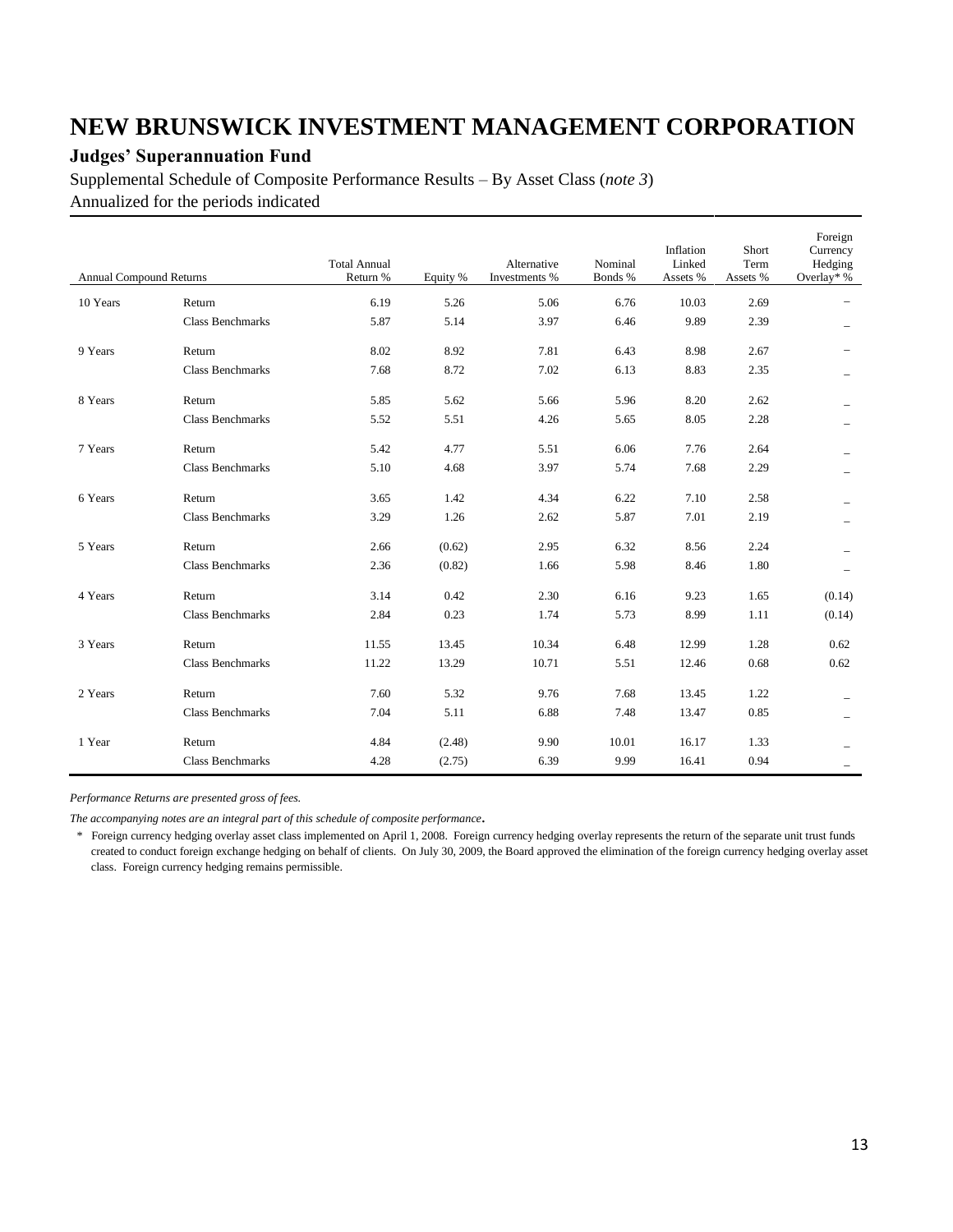### **Judges' Superannuation Fund**

Supplemental Schedule of Composite Performance Results – By Asset Class (*note 3*) Annualized for the periods indicated

| <b>Annual Compound Returns</b> |                         | <b>Total Annual</b><br>Return % | Equity % | Alternative<br>Investments % | Nominal<br>Bonds % | Inflation<br>Linked<br>Assets % | Short<br>Term<br>Assets % | Foreign<br>Currency<br>Hedging<br>Overlay* % |
|--------------------------------|-------------------------|---------------------------------|----------|------------------------------|--------------------|---------------------------------|---------------------------|----------------------------------------------|
| 10 Years                       | Return                  | 6.19                            | 5.26     | 5.06                         | 6.76               | 10.03                           | 2.69                      |                                              |
|                                | <b>Class Benchmarks</b> | 5.87                            | 5.14     | 3.97                         | 6.46               | 9.89                            | 2.39                      |                                              |
| 9 Years                        | Return                  | 8.02                            | 8.92     | 7.81                         | 6.43               | 8.98                            | 2.67                      |                                              |
|                                | <b>Class Benchmarks</b> | 7.68                            | 8.72     | 7.02                         | 6.13               | 8.83                            | 2.35                      |                                              |
| 8 Years                        | Return                  | 5.85                            | 5.62     | 5.66                         | 5.96               | 8.20                            | 2.62                      |                                              |
|                                | <b>Class Benchmarks</b> | 5.52                            | 5.51     | 4.26                         | 5.65               | 8.05                            | 2.28                      |                                              |
| 7 Years                        | Return                  | 5.42                            | 4.77     | 5.51                         | 6.06               | 7.76                            | 2.64                      |                                              |
|                                | <b>Class Benchmarks</b> | 5.10                            | 4.68     | 3.97                         | 5.74               | 7.68                            | 2.29                      |                                              |
| 6 Years                        | Return                  | 3.65                            | 1.42     | 4.34                         | 6.22               | 7.10                            | 2.58                      |                                              |
|                                | <b>Class Benchmarks</b> | 3.29                            | 1.26     | 2.62                         | 5.87               | 7.01                            | 2.19                      |                                              |
| 5 Years                        | Return                  | 2.66                            | (0.62)   | 2.95                         | 6.32               | 8.56                            | 2.24                      |                                              |
|                                | <b>Class Benchmarks</b> | 2.36                            | (0.82)   | 1.66                         | 5.98               | 8.46                            | 1.80                      |                                              |
| 4 Years                        | Return                  | 3.14                            | 0.42     | 2.30                         | 6.16               | 9.23                            | 1.65                      | (0.14)                                       |
|                                | <b>Class Benchmarks</b> | 2.84                            | 0.23     | 1.74                         | 5.73               | 8.99                            | 1.11                      | (0.14)                                       |
| 3 Years                        | Return                  | 11.55                           | 13.45    | 10.34                        | 6.48               | 12.99                           | 1.28                      | 0.62                                         |
|                                | <b>Class Benchmarks</b> | 11.22                           | 13.29    | 10.71                        | 5.51               | 12.46                           | 0.68                      | 0.62                                         |
| 2 Years                        | Return                  | 7.60                            | 5.32     | 9.76                         | 7.68               | 13.45                           | 1.22                      |                                              |
|                                | <b>Class Benchmarks</b> | 7.04                            | 5.11     | 6.88                         | 7.48               | 13.47                           | 0.85                      | $\overline{\phantom{0}}$                     |
| 1 Year                         | Return                  | 4.84                            | (2.48)   | 9.90                         | 10.01              | 16.17                           | 1.33                      |                                              |
|                                | <b>Class Benchmarks</b> | 4.28                            | (2.75)   | 6.39                         | 9.99               | 16.41                           | 0.94                      |                                              |

*Performance Returns are presented gross of fees.*

*The accompanying notes are an integral part of this schedule of composite performance.*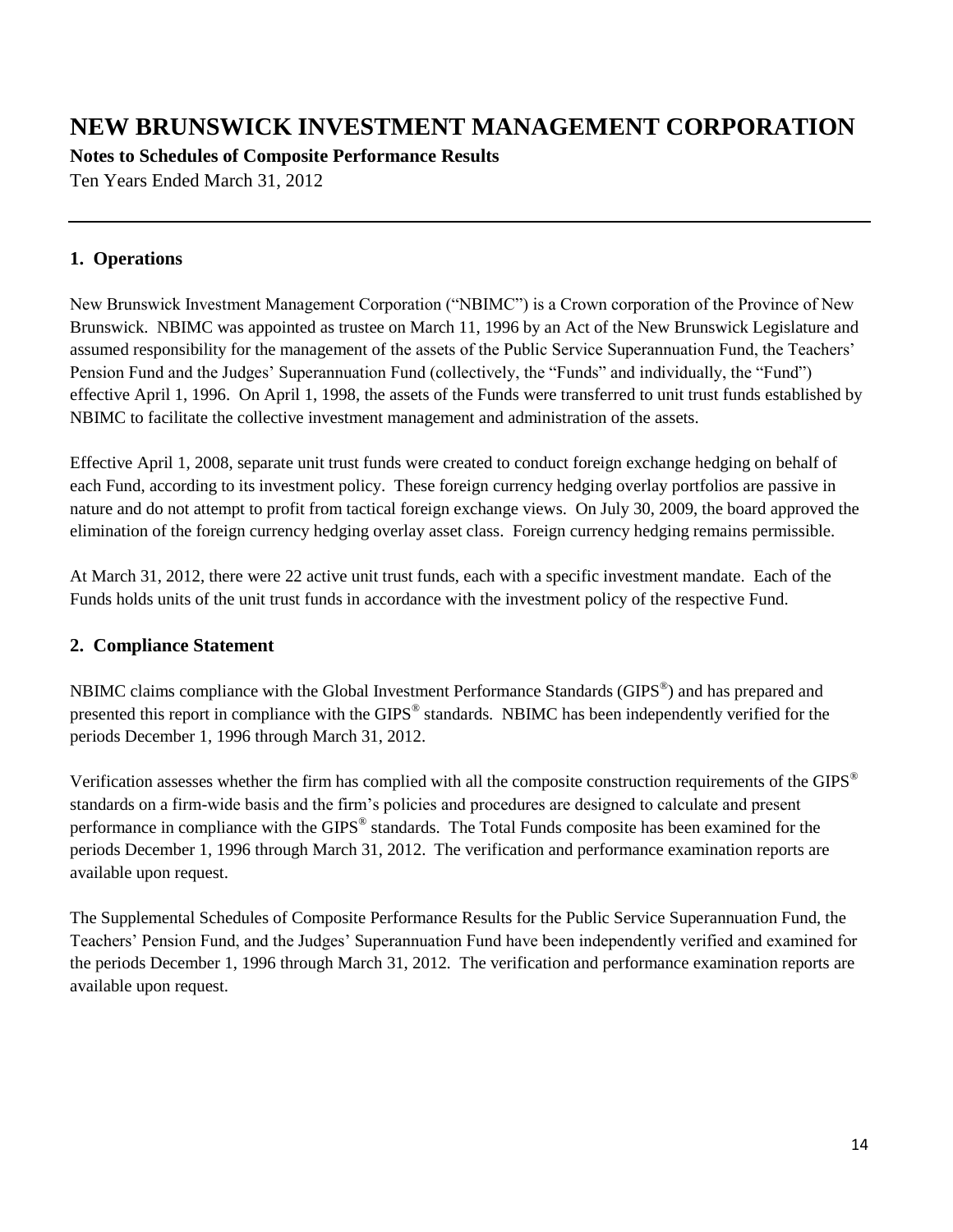**Notes to Schedules of Composite Performance Results**

Ten Years Ended March 31, 2012

### **1. Operations**

New Brunswick Investment Management Corporation ("NBIMC") is a Crown corporation of the Province of New Brunswick. NBIMC was appointed as trustee on March 11, 1996 by an Act of the New Brunswick Legislature and assumed responsibility for the management of the assets of the Public Service Superannuation Fund, the Teachers' Pension Fund and the Judges' Superannuation Fund (collectively, the "Funds" and individually, the "Fund") effective April 1, 1996. On April 1, 1998, the assets of the Funds were transferred to unit trust funds established by NBIMC to facilitate the collective investment management and administration of the assets.

Effective April 1, 2008, separate unit trust funds were created to conduct foreign exchange hedging on behalf of each Fund, according to its investment policy. These foreign currency hedging overlay portfolios are passive in nature and do not attempt to profit from tactical foreign exchange views. On July 30, 2009, the board approved the elimination of the foreign currency hedging overlay asset class. Foreign currency hedging remains permissible.

At March 31, 2012, there were 22 active unit trust funds, each with a specific investment mandate. Each of the Funds holds units of the unit trust funds in accordance with the investment policy of the respective Fund.

### **2. Compliance Statement**

NBIMC claims compliance with the Global Investment Performance Standards (GIPS<sup>®</sup>) and has prepared and presented this report in compliance with the GIPS<sup>®</sup> standards. NBIMC has been independently verified for the periods December 1, 1996 through March 31, 2012.

Verification assesses whether the firm has complied with all the composite construction requirements of the GIPS<sup>®</sup> standards on a firm-wide basis and the firm's policies and procedures are designed to calculate and present performance in compliance with the GIPS<sup>®</sup> standards. The Total Funds composite has been examined for the periods December 1, 1996 through March 31, 2012. The verification and performance examination reports are available upon request.

The Supplemental Schedules of Composite Performance Results for the Public Service Superannuation Fund, the Teachers' Pension Fund, and the Judges' Superannuation Fund have been independently verified and examined for the periods December 1, 1996 through March 31, 2012. The verification and performance examination reports are available upon request.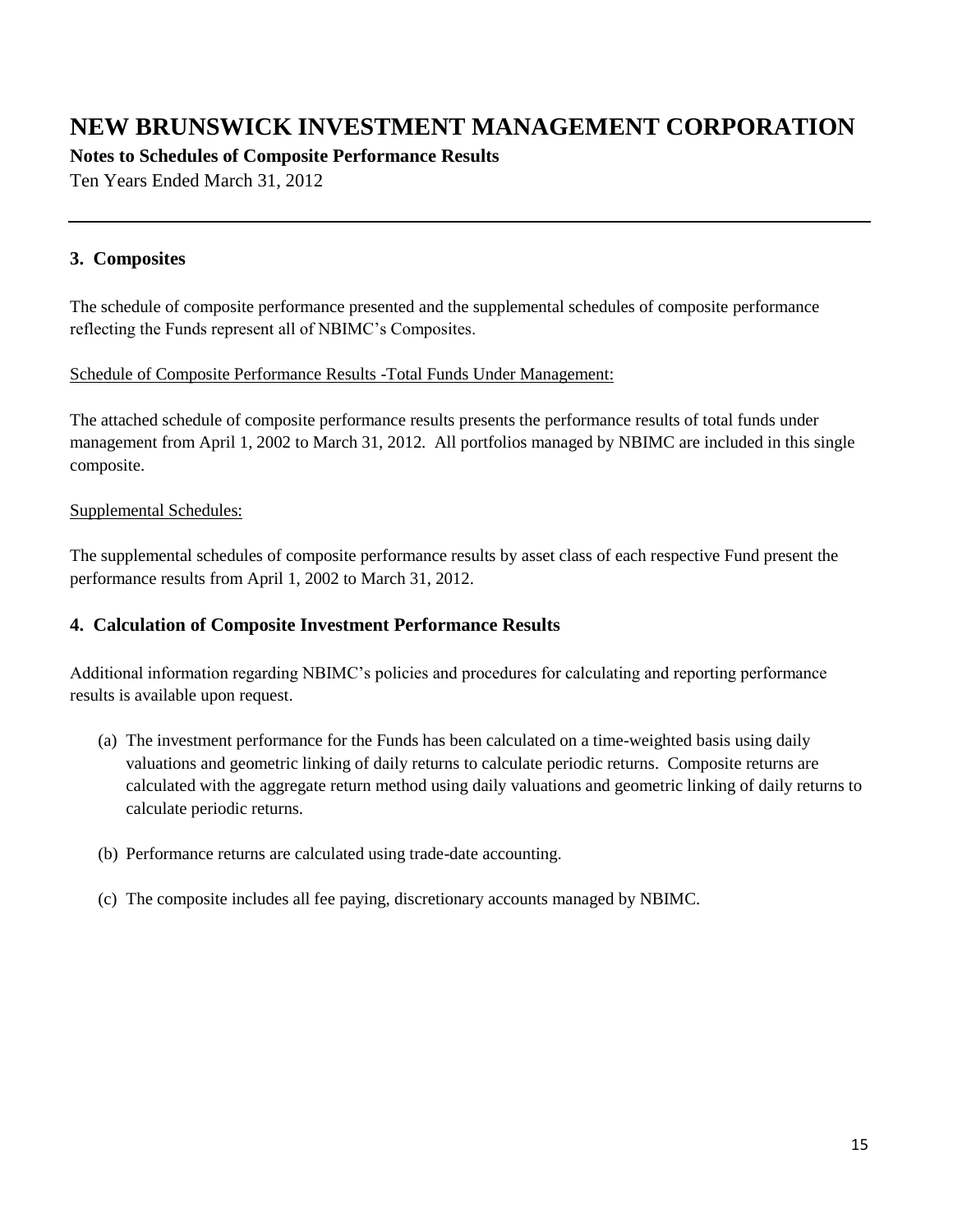**Notes to Schedules of Composite Performance Results**

Ten Years Ended March 31, 2012

### **3. Composites**

The schedule of composite performance presented and the supplemental schedules of composite performance reflecting the Funds represent all of NBIMC's Composites.

#### Schedule of Composite Performance Results -Total Funds Under Management:

The attached schedule of composite performance results presents the performance results of total funds under management from April 1, 2002 to March 31, 2012. All portfolios managed by NBIMC are included in this single composite.

#### Supplemental Schedules:

The supplemental schedules of composite performance results by asset class of each respective Fund present the performance results from April 1, 2002 to March 31, 2012.

#### **4. Calculation of Composite Investment Performance Results**

Additional information regarding NBIMC's policies and procedures for calculating and reporting performance results is available upon request.

- (a) The investment performance for the Funds has been calculated on a time-weighted basis using daily valuations and geometric linking of daily returns to calculate periodic returns. Composite returns are calculated with the aggregate return method using daily valuations and geometric linking of daily returns to calculate periodic returns.
- (b) Performance returns are calculated using trade-date accounting.
- (c) The composite includes all fee paying, discretionary accounts managed by NBIMC.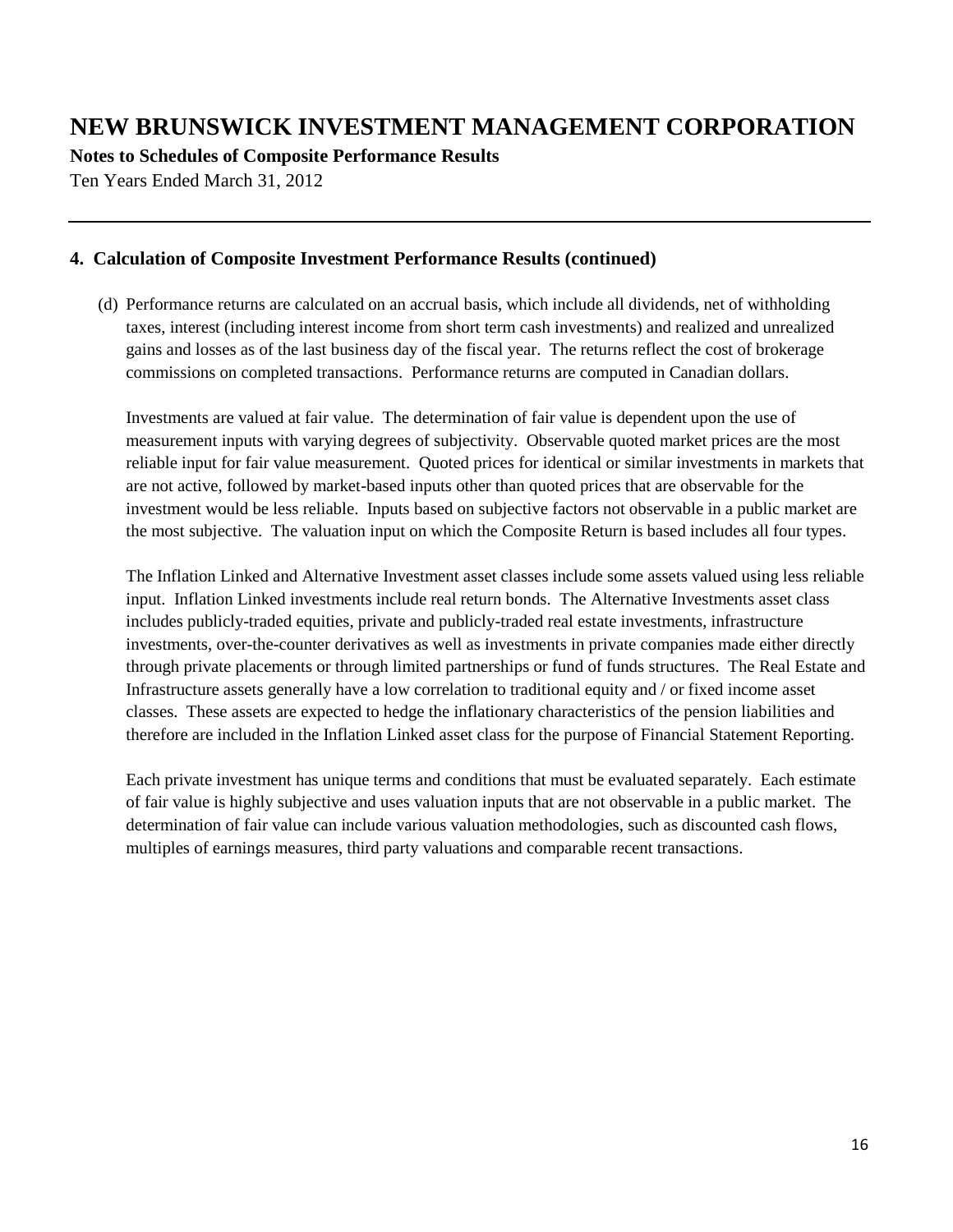**Notes to Schedules of Composite Performance Results**

Ten Years Ended March 31, 2012

#### **4. Calculation of Composite Investment Performance Results (continued)**

(d) Performance returns are calculated on an accrual basis, which include all dividends, net of withholding taxes, interest (including interest income from short term cash investments) and realized and unrealized gains and losses as of the last business day of the fiscal year. The returns reflect the cost of brokerage commissions on completed transactions. Performance returns are computed in Canadian dollars.

Investments are valued at fair value. The determination of fair value is dependent upon the use of measurement inputs with varying degrees of subjectivity. Observable quoted market prices are the most reliable input for fair value measurement. Quoted prices for identical or similar investments in markets that are not active, followed by market-based inputs other than quoted prices that are observable for the investment would be less reliable. Inputs based on subjective factors not observable in a public market are the most subjective. The valuation input on which the Composite Return is based includes all four types.

The Inflation Linked and Alternative Investment asset classes include some assets valued using less reliable input. Inflation Linked investments include real return bonds. The Alternative Investments asset class includes publicly-traded equities, private and publicly-traded real estate investments, infrastructure investments, over-the-counter derivatives as well as investments in private companies made either directly through private placements or through limited partnerships or fund of funds structures. The Real Estate and Infrastructure assets generally have a low correlation to traditional equity and / or fixed income asset classes. These assets are expected to hedge the inflationary characteristics of the pension liabilities and therefore are included in the Inflation Linked asset class for the purpose of Financial Statement Reporting.

Each private investment has unique terms and conditions that must be evaluated separately. Each estimate of fair value is highly subjective and uses valuation inputs that are not observable in a public market. The determination of fair value can include various valuation methodologies, such as discounted cash flows, multiples of earnings measures, third party valuations and comparable recent transactions.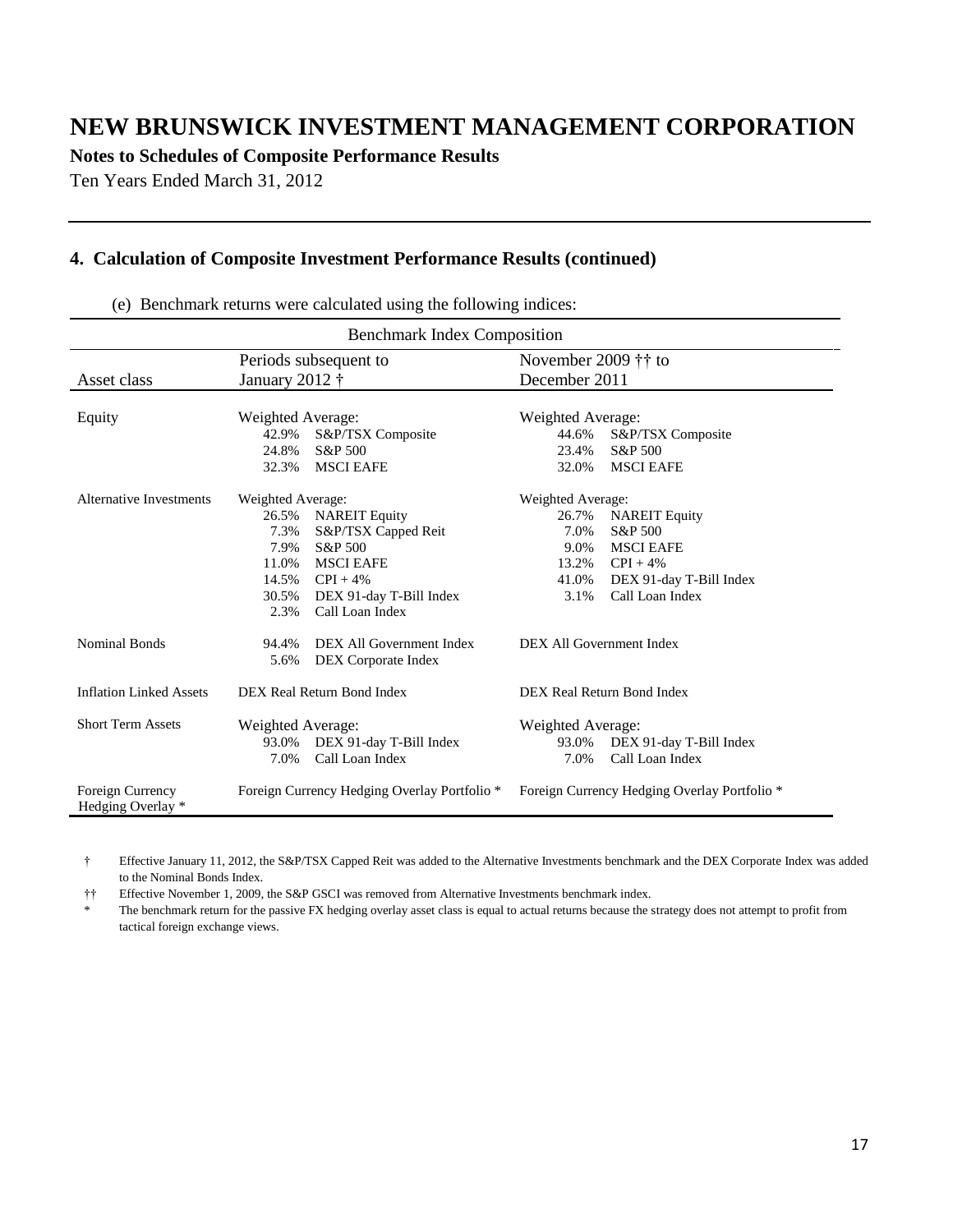**Notes to Schedules of Composite Performance Results**

Ten Years Ended March 31, 2012

#### **4. Calculation of Composite Investment Performance Results (continued)**

Benchmark Index Composition Asset class Periods subsequent to January 2012 † November 2009 †† to December 2011 Equity Weighted Average: Weighted Average: 42.9% S&P/TSX Composite 44.6% S&P/TSX Composite 24.8% S&P 500 23.4% S&P 500 32.3% MSCI EAFE 32.0% MSCI EAFE Alternative Investments Weighted Average: Weighted Average: 26.5% NAREIT Equity 26.7% NAREIT Equity S&P/TSX Capped Reit 7.9% S&P 500 11 9.0% MSCI EAFE 11.0% MSCI EAFE 13.2% CPI + 4% 14.5% CPI + 4% 41.0% DEX 91-day T-Bill Index 30.5% DEX 91-day T-Bill Index 3.1% Call Loan Index 2.3% Call Loan Index Nominal Bonds 94.4% DEX All Government Index DEX All Government Index 5.6% DEX Corporate Index Inflation Linked Assets DEX Real Return Bond Index DEX Real Return Bond Index Short Term Assets Weighted Average: Weighted Average: 93.0% DEX 91-day T-Bill Index 93.0% DEX 91-day T-Bill Index 7.0% Call Loan Index 7.0% Call Loan Index Foreign Currency Hedging Overlay \* Foreign Currency Hedging Overlay Portfolio \* Foreign Currency Hedging Overlay Portfolio \*

(e) Benchmark returns were calculated using the following indices:

† Effective January 11, 2012, the S&P/TSX Capped Reit was added to the Alternative Investments benchmark and the DEX Corporate Index was added to the Nominal Bonds Index.

†† Effective November 1, 2009, the S&P GSCI was removed from Alternative Investments benchmark index.

The benchmark return for the passive FX hedging overlay asset class is equal to actual returns because the strategy does not attempt to profit from tactical foreign exchange views.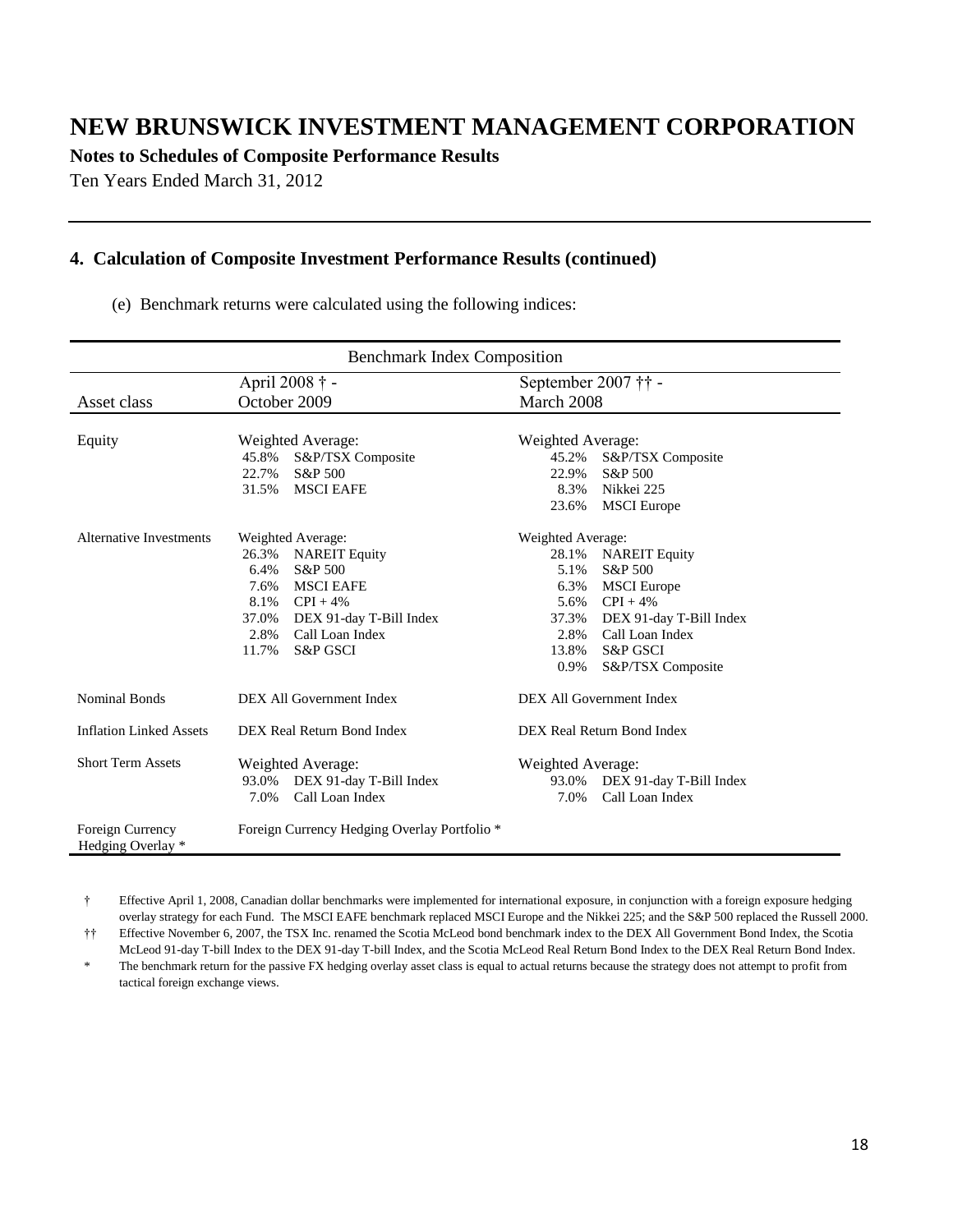**Notes to Schedules of Composite Performance Results**

Ten Years Ended March 31, 2012

#### **4. Calculation of Composite Investment Performance Results (continued)**

(e) Benchmark returns were calculated using the following indices:

| <b>Benchmark Index Composition</b>    |                                                                                                                                                                                                                             |                                                                                      |                                                                                                                                                               |  |  |
|---------------------------------------|-----------------------------------------------------------------------------------------------------------------------------------------------------------------------------------------------------------------------------|--------------------------------------------------------------------------------------|---------------------------------------------------------------------------------------------------------------------------------------------------------------|--|--|
|                                       | April 2008 † -                                                                                                                                                                                                              | September 2007 †† -                                                                  |                                                                                                                                                               |  |  |
| Asset class                           | October 2009                                                                                                                                                                                                                | March 2008                                                                           |                                                                                                                                                               |  |  |
| Equity                                | Weighted Average:<br>45.8%<br>S&P/TSX Composite<br>22.7%<br>S&P 500<br><b>MSCI EAFE</b><br>31.5%                                                                                                                            | Weighted Average:<br>45.2%<br>22.9%<br>8.3%<br>23.6%                                 | S&P/TSX Composite<br>S&P 500<br>Nikkei 225<br><b>MSCI</b> Europe                                                                                              |  |  |
| Alternative Investments               | Weighted Average:<br>26.3%<br><b>NAREIT Equity</b><br>6.4%<br>S&P 500<br><b>MSCI EAFE</b><br>7.6%<br>8.1% $\text{CPI} + 4\%$<br>37.0%<br>DEX 91-day T-Bill Index<br>Call Loan Index<br>2.8%<br>11.7%<br><b>S&amp;P GSCI</b> | Weighted Average:<br>28.1%<br>5.1%<br>6.3%<br>5.6%<br>37.3%<br>2.8%<br>13.8%<br>0.9% | <b>NAREIT Equity</b><br>S&P 500<br><b>MSCI</b> Europe<br>$CPI + 4%$<br>DEX 91-day T-Bill Index<br>Call Loan Index<br><b>S&amp;P GSCI</b><br>S&P/TSX Composite |  |  |
| Nominal Bonds                         | DEX All Government Index<br>DEX All Government Index                                                                                                                                                                        |                                                                                      |                                                                                                                                                               |  |  |
| <b>Inflation Linked Assets</b>        | DEX Real Return Bond Index                                                                                                                                                                                                  | DEX Real Return Bond Index                                                           |                                                                                                                                                               |  |  |
| <b>Short Term Assets</b>              | Weighted Average:<br>DEX 91-day T-Bill Index<br>93.0%<br>Call Loan Index<br>7.0%                                                                                                                                            | Weighted Average:<br>7.0%                                                            | 93.0% DEX 91-day T-Bill Index<br>Call Loan Index                                                                                                              |  |  |
| Foreign Currency<br>Hedging Overlay * | Foreign Currency Hedging Overlay Portfolio <sup>*</sup>                                                                                                                                                                     |                                                                                      |                                                                                                                                                               |  |  |

† Effective April 1, 2008, Canadian dollar benchmarks were implemented for international exposure, in conjunction with a foreign exposure hedging overlay strategy for each Fund. The MSCI EAFE benchmark replaced MSCI Europe and the Nikkei 225; and the S&P 500 replaced the Russell 2000.

†† Effective November 6, 2007, the TSX Inc. renamed the Scotia McLeod bond benchmark index to the DEX All Government Bond Index, the Scotia McLeod 91-day T-bill Index to the DEX 91-day T-bill Index, and the Scotia McLeod Real Return Bond Index to the DEX Real Return Bond Index.

The benchmark return for the passive FX hedging overlay asset class is equal to actual returns because the strategy does not attempt to profit from tactical foreign exchange views.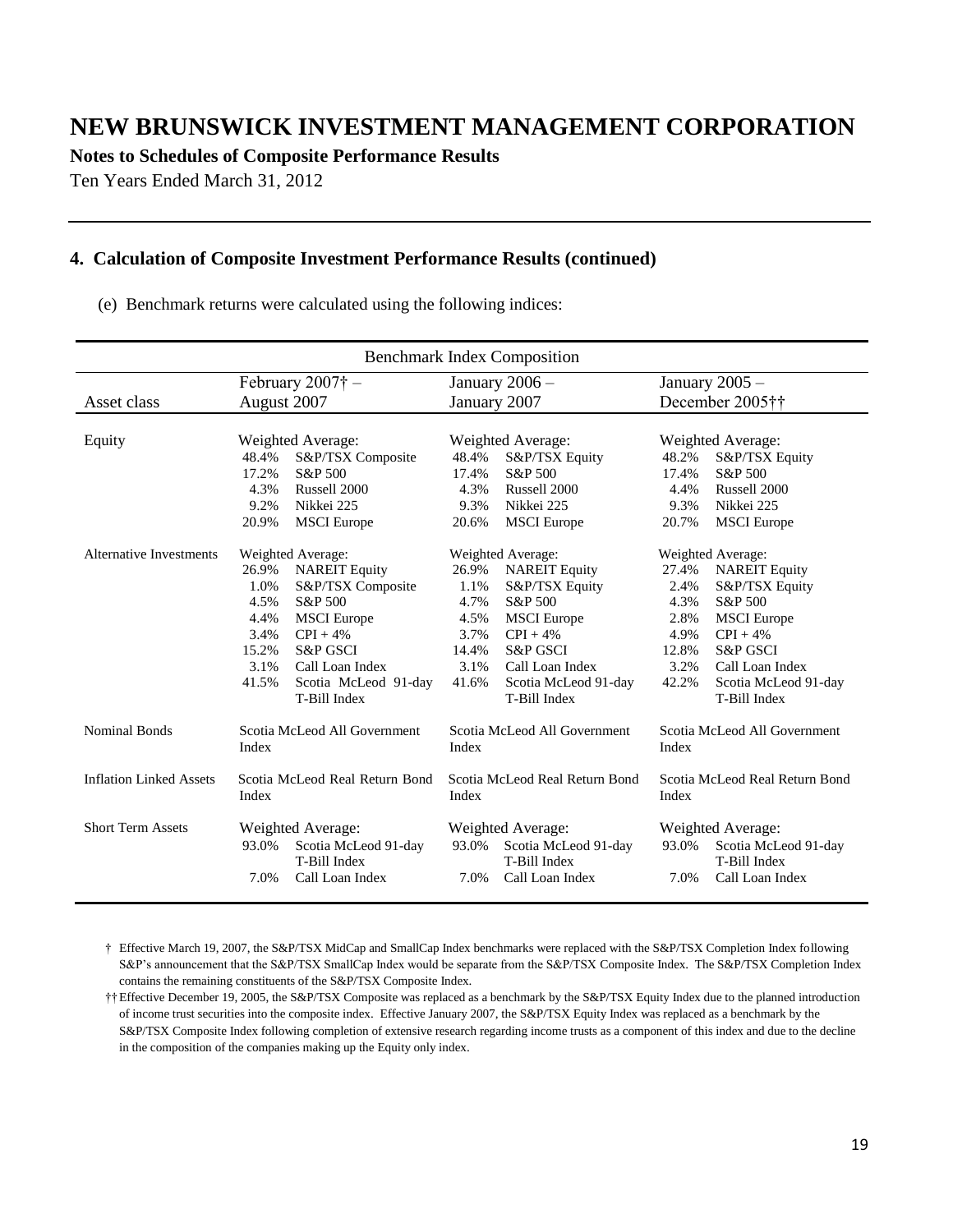**Notes to Schedules of Composite Performance Results**

Ten Years Ended March 31, 2012

#### **4. Calculation of Composite Investment Performance Results (continued)**

(e) Benchmark returns were calculated using the following indices:

| <b>Benchmark Index Composition</b>            |                                         |                          |                                         |                      |                                         |                      |
|-----------------------------------------------|-----------------------------------------|--------------------------|-----------------------------------------|----------------------|-----------------------------------------|----------------------|
|                                               |                                         | February $2007\dagger$ – | January $2006 -$                        |                      | January 2005 -                          |                      |
| Asset class                                   | August 2007                             |                          | January 2007                            |                      | December 2005††                         |                      |
|                                               |                                         |                          |                                         |                      |                                         |                      |
| Equity                                        | Weighted Average:                       |                          | Weighted Average:                       |                      | Weighted Average:                       |                      |
|                                               | 48.4%                                   | S&P/TSX Composite        | 48.4%                                   | S&P/TSX Equity       | 48.2%                                   | S&P/TSX Equity       |
|                                               | 17.2%                                   | S&P 500                  | 17.4%                                   | S&P 500              | 17.4%                                   | S&P 500              |
|                                               | 4.3%                                    | Russell 2000             | 4.3%                                    | Russell 2000         | 4.4%                                    | Russell 2000         |
|                                               | 9.2%                                    | Nikkei 225               | 9.3%                                    | Nikkei 225           | 9.3%                                    | Nikkei 225           |
|                                               | 20.9%                                   | <b>MSCI</b> Europe       | 20.6%                                   | <b>MSCI</b> Europe   | 20.7%                                   | <b>MSCI</b> Europe   |
| Alternative Investments                       | Weighted Average:                       |                          | Weighted Average:                       |                      | Weighted Average:                       |                      |
|                                               | 26.9%                                   | <b>NAREIT Equity</b>     | 26.9%                                   | <b>NAREIT Equity</b> | 27.4%                                   | <b>NAREIT Equity</b> |
|                                               | 1.0%                                    | S&P/TSX Composite        | 1.1%                                    | S&P/TSX Equity       | 2.4%                                    | S&P/TSX Equity       |
|                                               | 4.5%                                    | S&P 500                  | 4.7%                                    | S&P 500              | 4.3%                                    | S&P 500              |
|                                               | 4.4%                                    | <b>MSCI</b> Europe       | 4.5%                                    | <b>MSCI</b> Europe   | 2.8%                                    | <b>MSCI</b> Europe   |
|                                               | 3.4%                                    | $CPI + 4%$               | 3.7%                                    | $CPI + 4%$           | 4.9%                                    | $CPI + 4%$           |
|                                               | 15.2%                                   | <b>S&amp;P GSCI</b>      | 14.4%                                   | <b>S&amp;P GSCI</b>  | 12.8%                                   | <b>S&amp;P GSCI</b>  |
|                                               | 3.1%                                    | Call Loan Index          | 3.1%                                    | Call Loan Index      | 3.2%                                    | Call Loan Index      |
|                                               | 41.5%                                   | Scotia McLeod 91-day     | 41.6%                                   | Scotia McLeod 91-day | 42.2%                                   | Scotia McLeod 91-day |
|                                               |                                         | T-Bill Index             |                                         | T-Bill Index         |                                         | T-Bill Index         |
| <b>Nominal Bonds</b>                          | Scotia McLeod All Government<br>Index   |                          | Scotia McLeod All Government<br>Index   |                      | Scotia McLeod All Government<br>Index   |                      |
| <b>Inflation Linked Assets</b>                | Scotia McLeod Real Return Bond<br>Index |                          | Scotia McLeod Real Return Bond<br>Index |                      | Scotia McLeod Real Return Bond<br>Index |                      |
| <b>Short Term Assets</b><br>Weighted Average: |                                         | Weighted Average:        |                                         | Weighted Average:    |                                         |                      |
|                                               | 93.0%                                   | Scotia McLeod 91-day     | 93.0%                                   | Scotia McLeod 91-day | 93.0%                                   | Scotia McLeod 91-day |
|                                               |                                         | T-Bill Index             |                                         | T-Bill Index         |                                         | T-Bill Index         |
|                                               | 7.0%                                    | Call Loan Index          | 7.0%                                    | Call Loan Index      | 7.0%                                    | Call Loan Index      |
|                                               |                                         |                          |                                         |                      |                                         |                      |

† Effective March 19, 2007, the S&P/TSX MidCap and SmallCap Index benchmarks were replaced with the S&P/TSX Completion Index following S&P's announcement that the S&P/TSX SmallCap Index would be separate from the S&P/TSX Composite Index. The S&P/TSX Completion Index contains the remaining constituents of the S&P/TSX Composite Index.

††Effective December 19, 2005, the S&P/TSX Composite was replaced as a benchmark by the S&P/TSX Equity Index due to the planned introduction of income trust securities into the composite index. Effective January 2007, the S&P/TSX Equity Index was replaced as a benchmark by the S&P/TSX Composite Index following completion of extensive research regarding income trusts as a component of this index and due to the decline in the composition of the companies making up the Equity only index.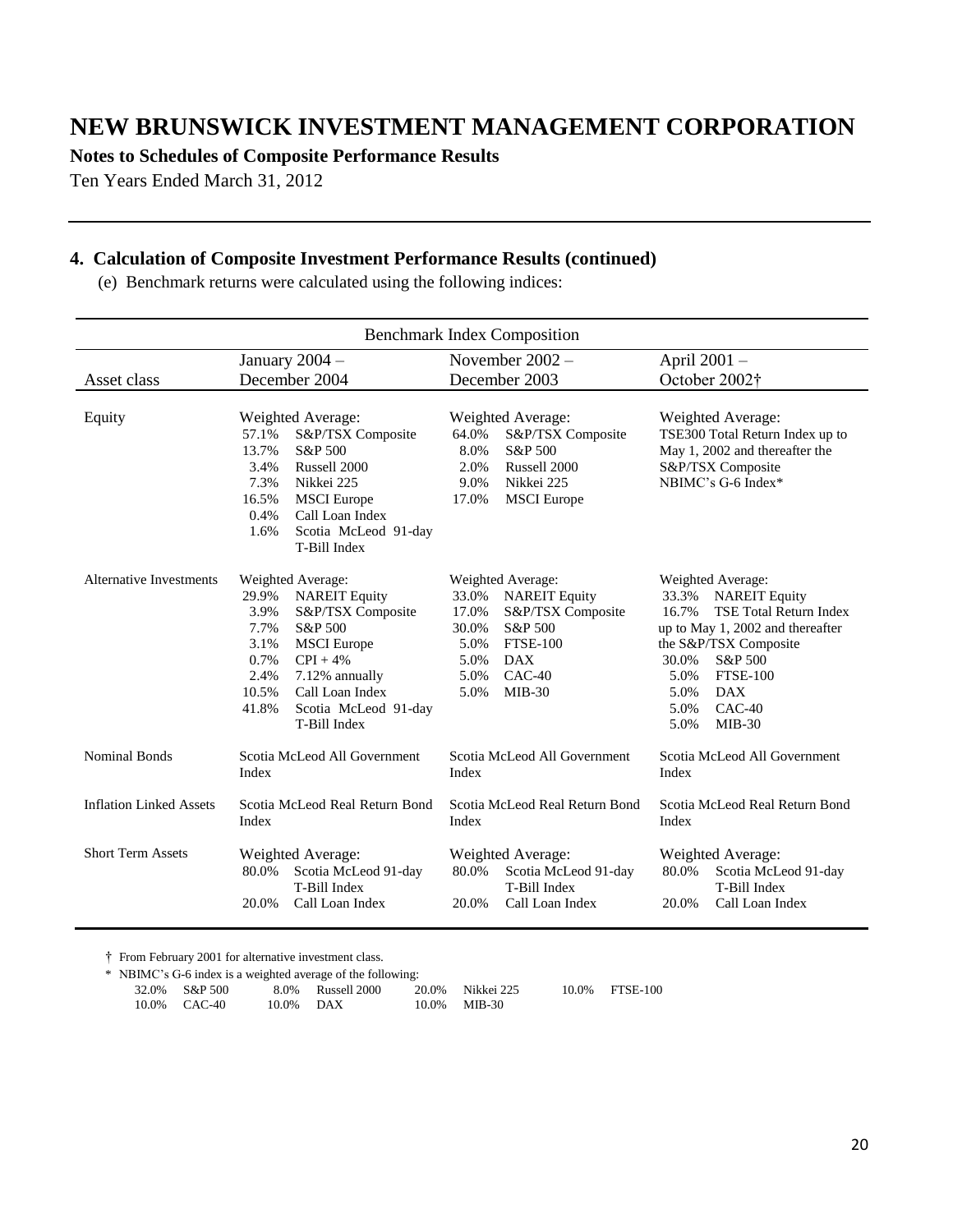**Notes to Schedules of Composite Performance Results**

Ten Years Ended March 31, 2012

#### **4. Calculation of Composite Investment Performance Results (continued)**

(e) Benchmark returns were calculated using the following indices:

| <b>Benchmark Index Composition</b> |                                                                                                                                                                                                                                                               |                                                                                                                                                                                        |                                                                                                                                                                                                                                                                        |  |
|------------------------------------|---------------------------------------------------------------------------------------------------------------------------------------------------------------------------------------------------------------------------------------------------------------|----------------------------------------------------------------------------------------------------------------------------------------------------------------------------------------|------------------------------------------------------------------------------------------------------------------------------------------------------------------------------------------------------------------------------------------------------------------------|--|
|                                    | January $2004 -$                                                                                                                                                                                                                                              | November $2002 -$                                                                                                                                                                      | April 2001 -                                                                                                                                                                                                                                                           |  |
| Asset class                        | December 2004                                                                                                                                                                                                                                                 | December 2003                                                                                                                                                                          | October 2002†                                                                                                                                                                                                                                                          |  |
| Equity                             | Weighted Average:<br>57.1%<br>S&P/TSX Composite<br>S&P 500<br>13.7%<br>3.4%<br>Russell 2000<br>7.3%<br>Nikkei 225<br>16.5%<br><b>MSCI</b> Europe<br>0.4%<br>Call Loan Index<br>1.6%<br>Scotia McLeod 91-day<br>T-Bill Index                                   | Weighted Average:<br>64.0%<br>S&P/TSX Composite<br>8.0%<br>S&P 500<br>2.0%<br>Russell 2000<br>9.0%<br>Nikkei 225<br>17.0%<br><b>MSCI</b> Europe                                        | Weighted Average:<br>TSE300 Total Return Index up to<br>May 1, 2002 and thereafter the<br>S&P/TSX Composite<br>NBIMC's G-6 Index*                                                                                                                                      |  |
| <b>Alternative Investments</b>     | Weighted Average:<br>29.9%<br><b>NAREIT Equity</b><br>3.9%<br>S&P/TSX Composite<br>7.7%<br>S&P 500<br>3.1%<br><b>MSCI</b> Europe<br>0.7%<br>$CPI + 4%$<br>2.4%<br>7.12% annually<br>10.5%<br>Call Loan Index<br>41.8%<br>Scotia McLeod 91-day<br>T-Bill Index | Weighted Average:<br>33.0%<br><b>NAREIT Equity</b><br>17.0%<br>S&P/TSX Composite<br>30.0%<br>S&P 500<br><b>FTSE-100</b><br>5.0%<br>5.0%<br>DAX<br>$CAC-40$<br>5.0%<br>5.0%<br>$MIB-30$ | Weighted Average:<br>33.3%<br><b>NAREIT Equity</b><br><b>TSE Total Return Index</b><br>16.7%<br>up to May 1, 2002 and thereafter<br>the S&P/TSX Composite<br>S&P 500<br>30.0%<br><b>FTSE-100</b><br>5.0%<br>5.0%<br><b>DAX</b><br>$CAC-40$<br>5.0%<br>5.0%<br>$MIB-30$ |  |
| <b>Nominal Bonds</b>               | Scotia McLeod All Government<br>Index                                                                                                                                                                                                                         | Scotia McLeod All Government<br>Index                                                                                                                                                  | Scotia McLeod All Government<br>Index                                                                                                                                                                                                                                  |  |
| <b>Inflation Linked Assets</b>     | Scotia McLeod Real Return Bond<br>Index                                                                                                                                                                                                                       | Scotia McLeod Real Return Bond<br>Index                                                                                                                                                | Scotia McLeod Real Return Bond<br>Index                                                                                                                                                                                                                                |  |
| <b>Short Term Assets</b>           | Weighted Average:<br>80.0%<br>Scotia McLeod 91-day<br>T-Bill Index<br>20.0%<br>Call Loan Index                                                                                                                                                                | Weighted Average:<br>80.0%<br>Scotia McLeod 91-day<br>T-Bill Index<br>Call Loan Index<br>20.0%                                                                                         | Weighted Average:<br>Scotia McLeod 91-day<br>80.0%<br>T-Bill Index<br>20.0%<br>Call Loan Index                                                                                                                                                                         |  |

† From February 2001 for alternative investment class.

\* NBIMC's G-6 index is a weighted average of the following: 32.0% S&P 500 8.0% Russell 2000 20.0% Nikkei 225 10.0% FTSE-100 10.0% CAC-40 10.0% DAX 10.0% MIB-30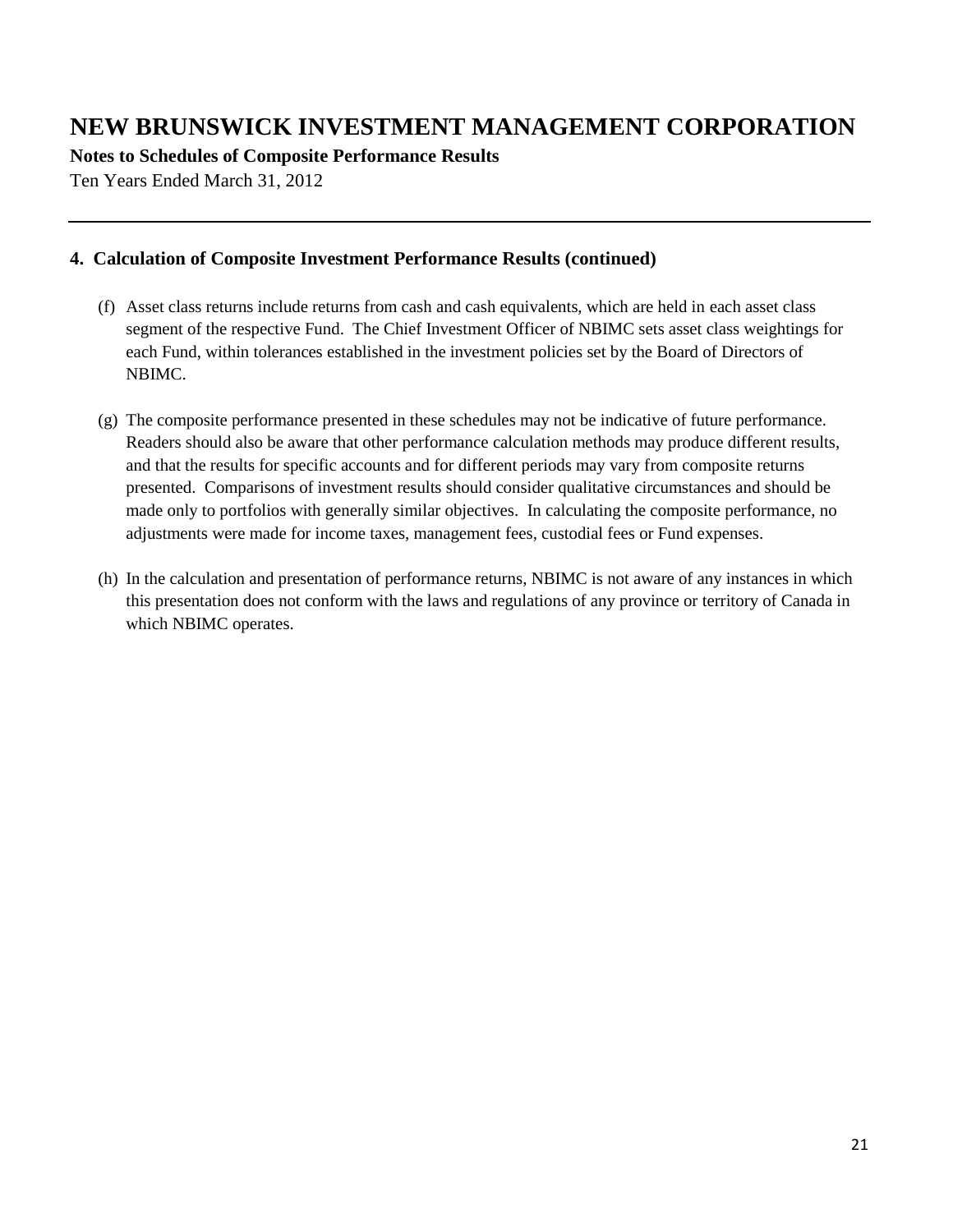**Notes to Schedules of Composite Performance Results**

Ten Years Ended March 31, 2012

### **4. Calculation of Composite Investment Performance Results (continued)**

- (f) Asset class returns include returns from cash and cash equivalents, which are held in each asset class segment of the respective Fund. The Chief Investment Officer of NBIMC sets asset class weightings for each Fund, within tolerances established in the investment policies set by the Board of Directors of NBIMC.
- (g) The composite performance presented in these schedules may not be indicative of future performance. Readers should also be aware that other performance calculation methods may produce different results, and that the results for specific accounts and for different periods may vary from composite returns presented. Comparisons of investment results should consider qualitative circumstances and should be made only to portfolios with generally similar objectives. In calculating the composite performance, no adjustments were made for income taxes, management fees, custodial fees or Fund expenses.
- (h) In the calculation and presentation of performance returns, NBIMC is not aware of any instances in which this presentation does not conform with the laws and regulations of any province or territory of Canada in which NBIMC operates.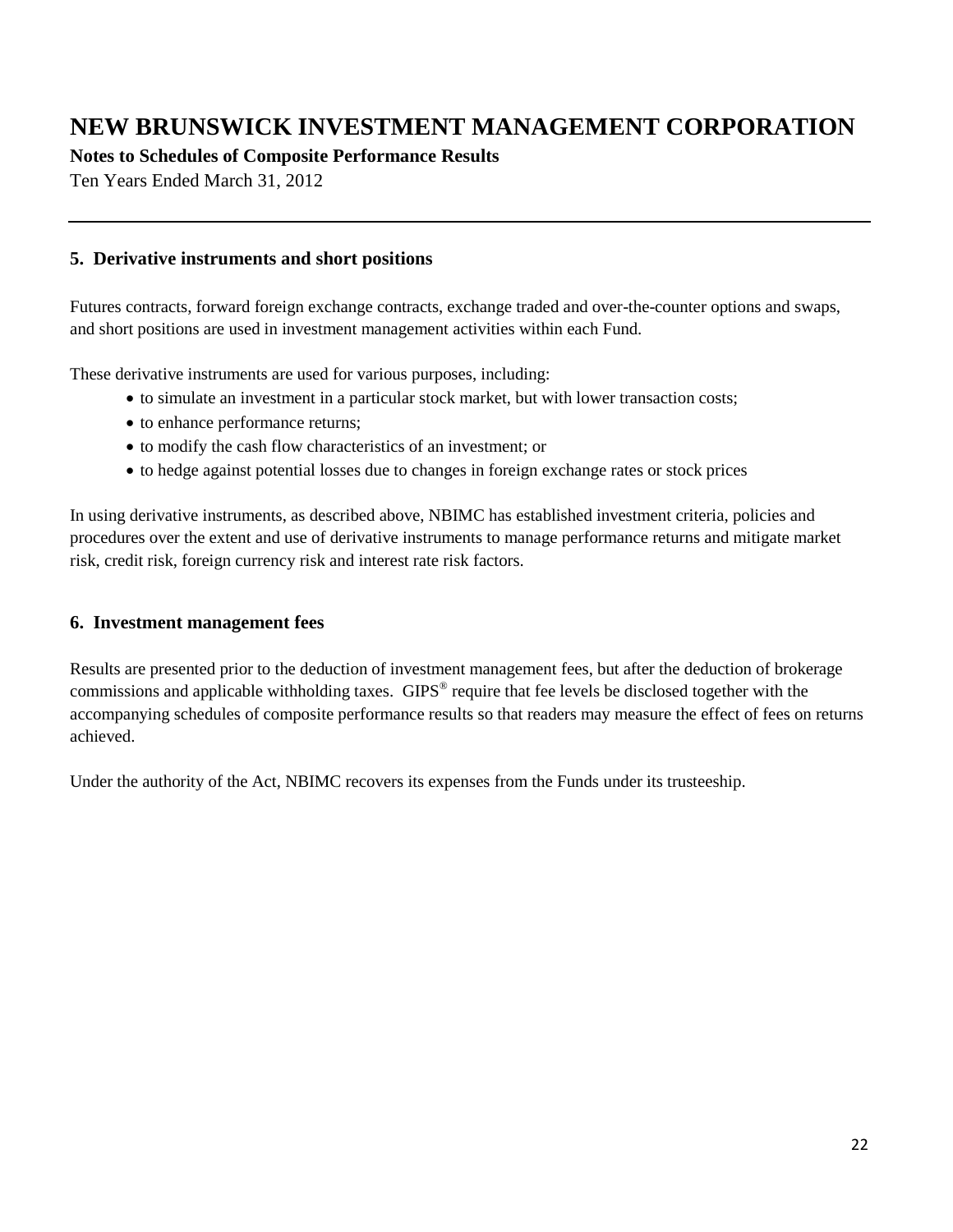**Notes to Schedules of Composite Performance Results**

Ten Years Ended March 31, 2012

#### **5. Derivative instruments and short positions**

Futures contracts, forward foreign exchange contracts, exchange traded and over-the-counter options and swaps, and short positions are used in investment management activities within each Fund.

These derivative instruments are used for various purposes, including:

- to simulate an investment in a particular stock market, but with lower transaction costs;
- to enhance performance returns;
- to modify the cash flow characteristics of an investment; or
- to hedge against potential losses due to changes in foreign exchange rates or stock prices

In using derivative instruments, as described above, NBIMC has established investment criteria, policies and procedures over the extent and use of derivative instruments to manage performance returns and mitigate market risk, credit risk, foreign currency risk and interest rate risk factors.

#### **6. Investment management fees**

Results are presented prior to the deduction of investment management fees, but after the deduction of brokerage commissions and applicable withholding taxes. GIPS<sup>®</sup> require that fee levels be disclosed together with the accompanying schedules of composite performance results so that readers may measure the effect of fees on returns achieved.

Under the authority of the Act, NBIMC recovers its expenses from the Funds under its trusteeship.